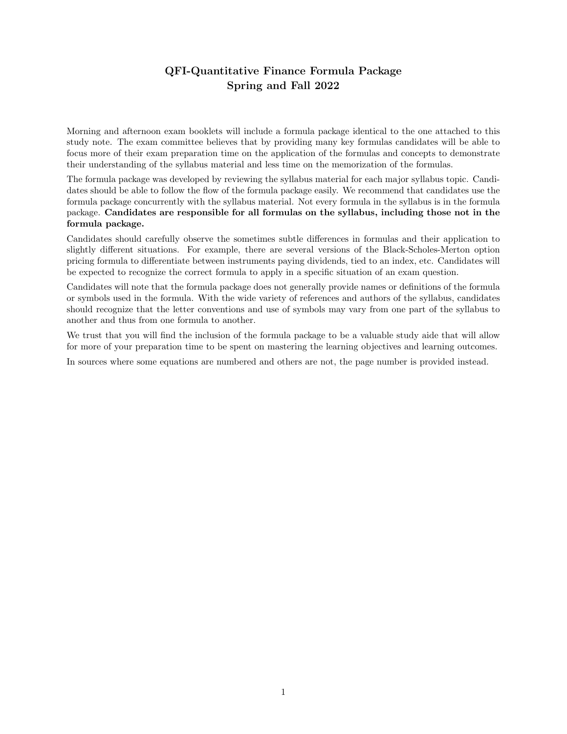### QFI-Quantitative Finance Formula Package Spring and Fall 2022

Morning and afternoon exam booklets will include a formula package identical to the one attached to this study note. The exam committee believes that by providing many key formulas candidates will be able to focus more of their exam preparation time on the application of the formulas and concepts to demonstrate their understanding of the syllabus material and less time on the memorization of the formulas.

The formula package was developed by reviewing the syllabus material for each major syllabus topic. Candidates should be able to follow the flow of the formula package easily. We recommend that candidates use the formula package concurrently with the syllabus material. Not every formula in the syllabus is in the formula package. Candidates are responsible for all formulas on the syllabus, including those not in the formula package.

Candidates should carefully observe the sometimes subtle differences in formulas and their application to slightly different situations. For example, there are several versions of the Black-Scholes-Merton option pricing formula to differentiate between instruments paying dividends, tied to an index, etc. Candidates will be expected to recognize the correct formula to apply in a specific situation of an exam question.

Candidates will note that the formula package does not generally provide names or definitions of the formula or symbols used in the formula. With the wide variety of references and authors of the syllabus, candidates should recognize that the letter conventions and use of symbols may vary from one part of the syllabus to another and thus from one formula to another.

We trust that you will find the inclusion of the formula package to be a valuable study aide that will allow for more of your preparation time to be spent on mastering the learning objectives and learning outcomes.

In sources where some equations are numbered and others are not, the page number is provided instead.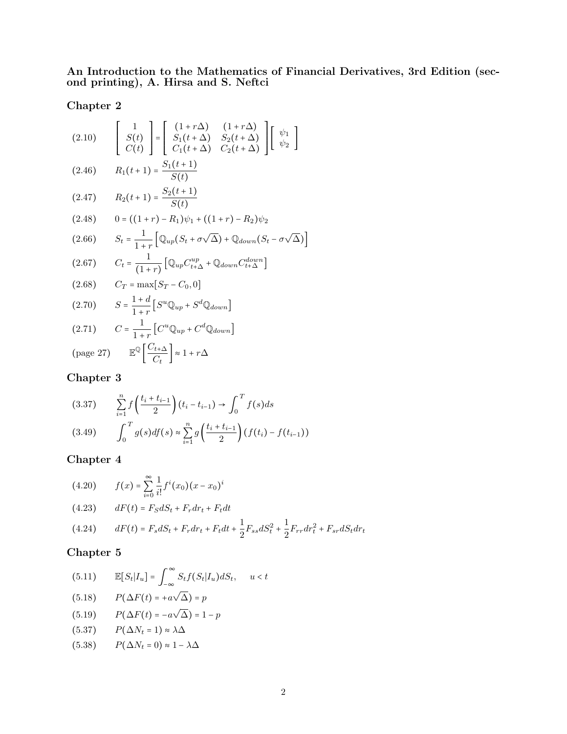An Introduction to the Mathematics of Financial Derivatives, 3rd Edition (second printing), A. Hirsa and S. Neftci

#### Chapter 2

(2.10) 
$$
\begin{bmatrix} 1 \ S(t) \ C(t) \end{bmatrix} = \begin{bmatrix} (1+r\Delta) & (1+r\Delta) \ S_1(t+\Delta) & S_2(t+\Delta) \ C_1(t+\Delta) & C_2(t+\Delta) \end{bmatrix} \begin{bmatrix} \psi_1 \\ \psi_2 \end{bmatrix}
$$

$$
(2.46) \qquad R_1(t+1) = \frac{S_1(t+1)}{S(t)}
$$

(2.47) 
$$
R_2(t+1) = \frac{S_2(t+1)}{S(t)}
$$

(2.48) 
$$
0 = ((1+r) - R_1)\psi_1 + ((1+r) - R_2)\psi_2
$$

$$
(2.66) \qquad S_t = \frac{1}{1+r} \left[ \mathbb{Q}_{up}(S_t + \sigma \sqrt{\Delta}) + \mathbb{Q}_{down}(S_t - \sigma \sqrt{\Delta}) \right]
$$

$$
(2.67) \t Ct = \frac{1}{(1+r)} \left[ \mathbb{Q}_{up} C_{t+\Delta}^{up} + \mathbb{Q}_{down} C_{t+\Delta}^{down} \right]
$$

(2.68) 
$$
C_T = \max[S_T - C_0, 0]
$$

$$
(2.70) \tS = \frac{1+d}{1+r} \left[ S^u \mathbb{Q}_{up} + S^d \mathbb{Q}_{down} \right]
$$

(2.71) 
$$
C = \frac{1}{1+r} \left[ C^u \mathbb{Q}_{up} + C^d \mathbb{Q}_{down} \right]
$$

$$
\left[ C_{1} \right]_{\text{Cov}} = 27 \qquad \mathbb{E}^{\mathbb{Q}} \left[ C_{t+\Delta} \right]_{\text{Cov}} \rightarrow \mathbb{E}^{\mathbb{Q}}
$$

$$
\text{(page 27)} \qquad \mathbb{E}^{\mathbb{Q}} \left[ \frac{C_{t+\Delta}}{C_t} \right] \approx 1 + r\Delta
$$

#### Chapter 3

$$
(3.37) \qquad \sum_{i=1}^{n} f\left(\frac{t_i + t_{i-1}}{2}\right)(t_i - t_{i-1}) \to \int_0^T f(s)ds
$$
\n
$$
(3.49) \qquad \int_0^T g(s)df(s) \approx \sum_{i=1}^{n} g\left(\frac{t_i + t_{i-1}}{2}\right)(f(t_i) - f(t_{i-1}))
$$

#### Chapter 4

(4.20) 
$$
f(x) = \sum_{i=0}^{\infty} \frac{1}{i!} f^i(x_0) (x - x_0)^i
$$
  
(4.23) 
$$
dF(t) = F_S dS_t + F_r dr_t + F_t dt
$$
  
(4.24) 
$$
dF(t) = F_s dS_t + F_r dr_t + F_t dt + \frac{1}{2} F_{ss} dS_t^2 + \frac{1}{2} F_{rr} dr_t^2 + F_{sr} dS_t dr_t
$$

(5.11) 
$$
\mathbb{E}[S_t|I_u] = \int_{-\infty}^{\infty} S_t f(S_t|I_u) dS_t, \quad u < t
$$

$$
(5.18) \qquad P(\Delta F(t) = +a\sqrt{\Delta}) = p
$$

$$
(5.19) \qquad P(\Delta F(t) = -a\sqrt{\Delta}) = 1 - p
$$

$$
(5.37) \qquad P(\Delta N_t = 1) \approx \lambda \Delta
$$

$$
(5.38) \qquad P(\Delta N_t = 0) \approx 1 - \lambda \Delta
$$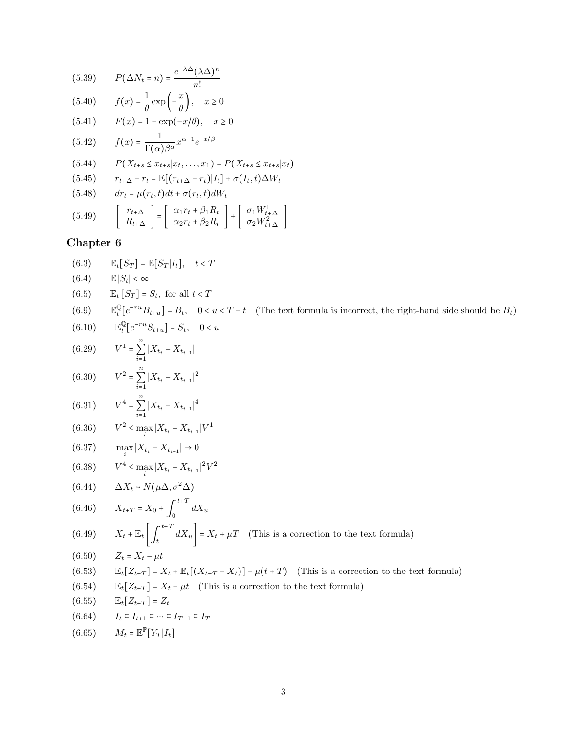(5.39) 
$$
P(\Delta N_t = n) = \frac{e^{-\lambda \Delta} (\lambda \Delta)^n}{n!}
$$
  
\n(5.40) 
$$
f(x) = \frac{1}{\theta} \exp\left(-\frac{x}{\theta}\right), \quad x \ge 0
$$
  
\n(5.41) 
$$
F(x) = 1 - \exp(-x/\theta), \quad x \ge 0
$$
  
\n(5.42) 
$$
f(x) = \frac{1}{\Gamma(\alpha)\beta^{\alpha}} x^{\alpha-1} e^{-x/\beta}
$$
  
\n(5.44) 
$$
P(X_{t+s} \le x_{t+s}|x_t, \dots, x_1) = P(X_{t+s} \le x_{t+s}|x_t)
$$
  
\n(5.45) 
$$
r_{t+\Delta} - r_t = \mathbb{E}[(r_{t+\Delta} - r_t)|I_t] + \sigma(I_t, t)\Delta W_t
$$
  
\n(5.48) 
$$
dr_t = \mu(r_t, t)dt + \sigma(r_t, t)dW_t
$$
  
\n(5.49) 
$$
\begin{bmatrix} r_{t+\Delta} \\ R_{t+\Delta} \end{bmatrix} = \begin{bmatrix} \alpha_1 r_t + \beta_1 R_t \\ \alpha_2 r_t + \beta_2 R_t \end{bmatrix} + \begin{bmatrix} \sigma_1 W_{t+\Delta}^1 \\ \sigma_2 W_{t+\Delta}^2 \end{bmatrix}
$$

(6.3) 
$$
\mathbb{E}_{t}[S_{T}] = \mathbb{E}[S_{T}|I_{t}], t < T
$$
  
\n(6.4)  $\mathbb{E}|S_{t}| < \infty$   
\n(6.5)  $\mathbb{E}_{t}[S_{T}] = S_{t},$  for all  $t < T$   
\n(6.9)  $\mathbb{E}_{t}^{0}[e^{-ru}B_{t+u}] = B_{t}, 0 < u < T - t$  (The text formula is incorrect, the right-hand side should be  $B_{t}$ )  
\n(6.10)  $\mathbb{E}_{t}^{0}[e^{-ru}B_{t+u}] = S_{t}, 0 < u$   
\n(6.29)  $V^{1} = \sum_{i=1}^{n} |X_{t_{i}} - X_{t_{i-1}}|$   
\n(6.30)  $V^{2} = \sum_{i=1}^{n} |X_{t_{i}} - X_{t_{i-1}}|^{2}$   
\n(6.31)  $V^{2} = \sum_{i=1}^{n} |X_{t_{i}} - X_{t_{i-1}}|^{2}$   
\n(6.33)  $V^{2} \le \max_{i} |X_{t_{i}} - X_{t_{i-1}}|^{1}$   
\n(6.35)  $V^{2} \le \max_{i} |X_{t_{i}} - X_{t_{i-1}}|^{1}$   
\n(6.36)  $V^{2} \le \max_{i} |X_{t_{i}} - X_{t_{i-1}}|^{2}V^{2}$   
\n(6.37)  $\max |X_{t_{i}} - X_{t_{i-1}}| \to 0$   
\n(6.38)  $V^{4} \le \max_{i} |X_{t_{i}} - X_{t_{i-1}}|^{2}V^{2}$   
\n(6.49)  $X_{t} + \mathbb{E}_{t} \left[ \int_{t}^{t+T} dX_{u} \right] = X_{t} + \mu T$  (This is a correction to the text formula)  
\n(6.50)  $Z_{t} = X_{t} - \mu t$   
\n(6.51)  $\mathbb{E}_{t}[Z_{t+T}] = X_{t} + \mathbb{E}_{t}[(X_{t+T} - X_{t})] - \mu(t+T)$  (This is a correction to the text formula)  
\n(6.53)  $\mathbb{E}_{$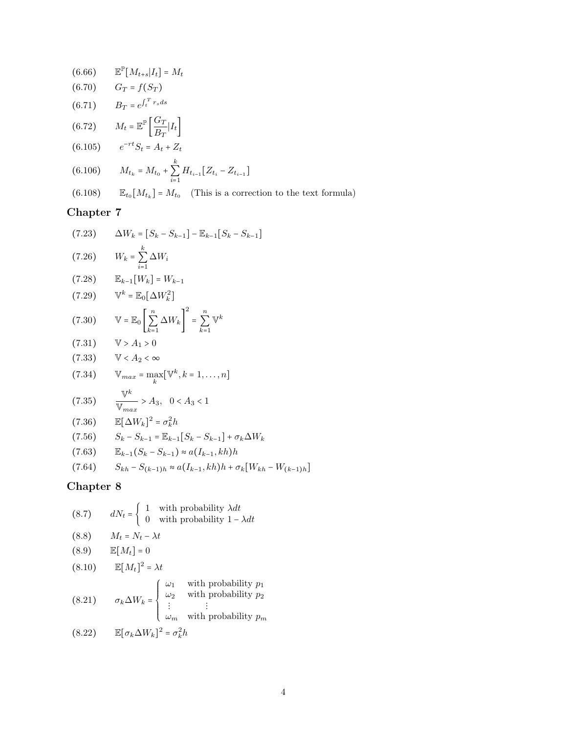(6.66) 
$$
\mathbb{E}^{\mathbb{P}}[M_{t+s}|I_t] = M_t
$$
  
\n(6.70)  $G_T = f(S_T)$   
\n(6.71)  $B_T = e^{\int_t^T r_s ds}$   
\n(6.72)  $M_t = \mathbb{E}^{\mathbb{P}}\left[\frac{G_T}{B_T}|I_t\right]$   
\n(6.105)  $e^{-rt}S_t = A_t + Z_t$   
\n(6.106)  $M_{t_k} = M_{t_0} + \sum_{i=1}^k H_{t_{i-1}}[Z_{t_i} - Z_{t_{i-1}}]$   
\n(6.108)  $\mathbb{E}_{t_0}[M_{t_k}] = M_{t_0}$  (This is a correction to the text formula)

(7.23) 
$$
\Delta W_k = [S_k - S_{k-1}] - \mathbb{E}_{k-1}[S_k - S_{k-1}]
$$
  
(7.26) 
$$
W_k = \sum_{i=1}^k \Delta W_i
$$
  
(7.28) 
$$
\mathbb{E}_{k-1}[W_k] = W_{k-1}
$$
  
(7.29) 
$$
\mathbb{V}^k = \mathbb{E}_0[\Delta W_k^2]
$$
  
(7.29) 
$$
\mathbb{V}^k = \mathbb{E}_0[\Delta W_k^2]
$$

$$
(7.30) \qquad \mathbb{V} = \mathbb{E}_0 \left[ \sum_{k=1}^{n} \Delta W_k \right] = \sum_{k=1}^{n} \mathbb{V}^k
$$

$$
(7.31) \qquad \mathbb{V} > A_1 > 0
$$
\n
$$
(7.33) \qquad \mathbb{V} < A_2 < \infty
$$

(7.34) 
$$
\mathbb{V}_{max} = \max_{k} [\mathbb{V}^{k}, k = 1, ..., n]
$$
  
(7.35) 
$$
\frac{\mathbb{V}^{k}}{\mathbb{V}^{k}} > A_{3}, \quad 0 < A_{3} < 1
$$

$$
(7.35) \qquad \frac{1}{\mathbb{V}_{max}} > A_3, \quad 0 < A_3 <
$$

$$
(7.36) \qquad \mathbb{E}[\Delta W_k]^2 = \sigma_k^2 h
$$

(7.56) 
$$
S_k - S_{k-1} = \mathbb{E}_{k-1} [S_k - S_{k-1}] + \sigma_k \Delta W_k
$$

$$
(7.63) \t\t \mathbb{E}_{k-1}(S_k - S_{k-1}) \approx a(I_{k-1}, kh)h
$$

$$
(7.64) \qquad S_{kh} - S_{(k-1)h} \approx a(I_{k-1}, kh)h + \sigma_k[W_{kh} - W_{(k-1)h}]
$$

(8.7) 
$$
dN_t = \begin{cases} 1 & \text{with probability } \lambda dt \\ 0 & \text{with probability } 1 - \lambda dt \end{cases}
$$
  
(8.8) 
$$
M_t = N_t - \lambda t
$$
  
(8.9) 
$$
\mathbb{E}[M_t] = 0
$$
  
(8.10) 
$$
\mathbb{E}[M_t]^2 = \lambda t
$$
  
(8.21) 
$$
\sigma_k \Delta W_k = \begin{cases} \omega_1 & \text{with probability } p_1 \\ \omega_2 & \text{with probability } p_2 \\ \vdots & \vdots \\ \omega_m & \text{with probability } p_m \end{cases}
$$
  
(8.22) 
$$
\mathbb{E}[\sigma_k \Delta W_k]^2 = \sigma_k^2 h
$$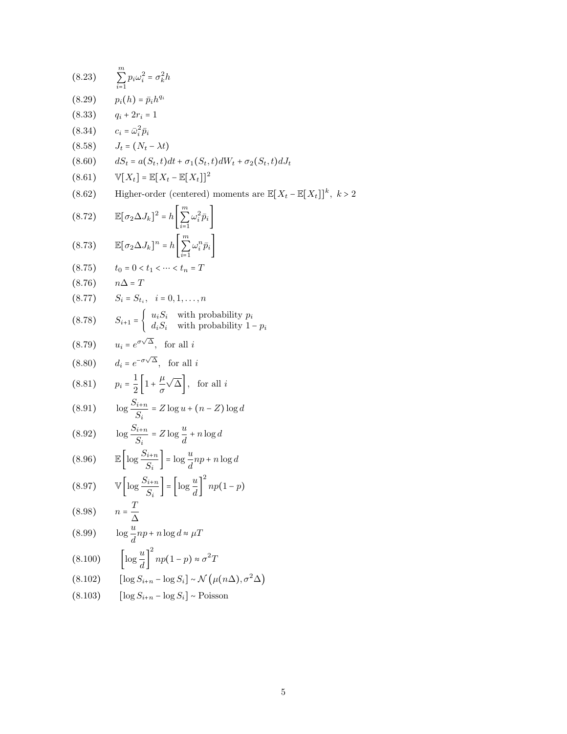$$
(8.23) \sum_{i=1}^{m} p_i \omega_i^2 = \sigma_k^2 h
$$
\n
$$
(8.29) p_i(h) = \bar{p}_i h^{4i}
$$
\n
$$
(8.33) q_i + 2r_i = 1
$$
\n
$$
(8.34) c_i = \bar{\omega}_i^2 \bar{p}_i
$$
\n
$$
(8.58) J_t = (N_t - \lambda t)
$$
\n
$$
(8.60) dS_t = a(S_t, t) dt + \sigma_1(S_t, t) dW_t + \sigma_2(S_t, t) dJ_t
$$
\n
$$
(8.61) \mathbb{V}[X_t] = \mathbb{E}[X_t - \mathbb{E}[X_t]]^2
$$
\n
$$
(8.62) Higher-order (centered) moments are  $\mathbb{E}[X_t - \mathbb{E}[X_t]]^k$ ,  $k >$ \n
$$
(8.72) \mathbb{E}[\sigma_2 \Delta J_k]^2 = h \left[ \sum_{i=1}^{m} \omega_i^2 \bar{p}_i \right]
$$
\n
$$
(8.73) \mathbb{E}[\sigma_2 \Delta J_k]^n = h \left[ \sum_{i=1}^{m} \omega_i^n \bar{p}_i \right]
$$
\n
$$
(8.75) t_0 = 0 < t_1 < \cdots < t_n = T
$$
\n
$$
(8.76) n\Delta = T
$$
\n
$$
(8.77) S_i = S_{t_i}, i = 0, 1, \ldots, n
$$
\n
$$
(8.78) S_{i+1} = \begin{cases} u_i S_i \text{ with probability } p_i \\ d_i S_i \text{ with probability } 1 - p_i \end{cases}
$$
\n
$$
(8.80) d_i = e^{-\sigma\sqrt{\Delta}}, \text{ for all } i
$$
\n
$$
(8.80) \mathbb{I} p_i = \frac{1}{2} \left[ 1 + \frac{\mu}{\sigma} \sqrt{\Delta} \right], \text{ for all } i
$$
\n
$$
(8.91) \log \frac{S_{i+n}}{S_i} = Z \log u + (n - Z) \log d
$$
\n
$$
(8.92) \log \frac{S_{i+n}}{S_i} = Z \log \frac{u}{d} + n \log d
$$
\n
$$
(8.96) \mathbb{E} \
$$
$$

 $\overline{2}$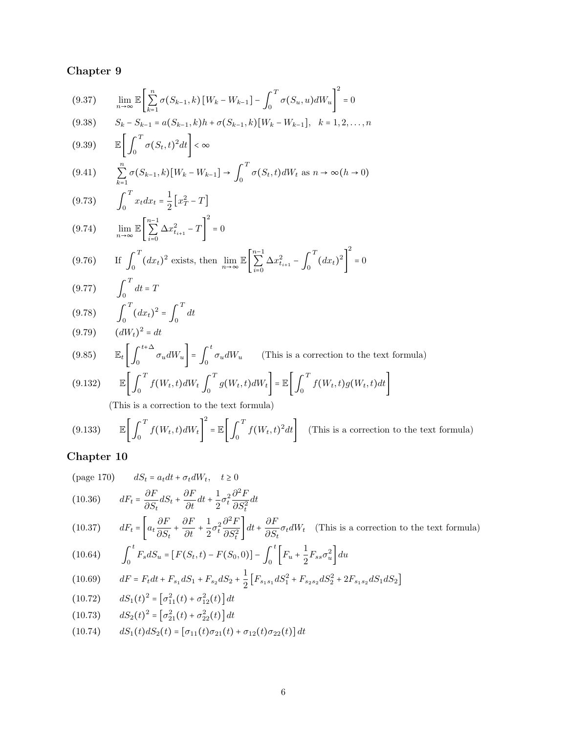$$
(9.37) \qquad \lim_{n \to \infty} \mathbb{E} \left[ \sum_{k=1}^{n} \sigma(S_{k-1}, k) \left[ W_k - W_{k-1} \right] - \int_0^T \sigma(S_u, u) dW_u \right]^2 = 0
$$

$$
(9.38) \qquad S_k - S_{k-1} = a(S_{k-1}, k)h + \sigma(S_{k-1}, k)[W_k - W_{k-1}], \quad k = 1, 2, \dots, n
$$

$$
(9.39) \qquad \mathbb{E}\bigg[\int_0^1 \sigma(S_t,t)^2 dt\bigg] < \infty
$$

$$
(9.41) \qquad \sum_{k=1}^{n} \sigma(S_{k-1}, k)[W_k - W_{k-1}] \to \int_0^T \sigma(S_t, t)dW_t \text{ as } n \to \infty (h \to 0)
$$

(9.73) 
$$
\int_0^T x_t dx_t = \frac{1}{2} \left[ x_T^2 - T \right]
$$

$$
(9.74) \qquad \lim_{n \to \infty} \mathbb{E} \left[ \sum_{i=0}^{n-1} \Delta x_{t_{i+1}}^2 - T \right]^2 = 0
$$

$$
(9.76) \qquad \text{If } \int_0^T (dx_t)^2 \text{ exists, then } \lim_{n \to \infty} \mathbb{E} \left[ \sum_{i=0}^{n-1} \Delta x_{t_{i+1}}^2 - \int_0^T (dx_t)^2 \right] = 0
$$

(9.77) 
$$
\int_0^1 dt = T
$$

$$
(9.78) \qquad \int_0^T (dx_t)^2 = \int_0^T (dx_t)^2 = T
$$

(9.78) 
$$
\int_0^{\infty} (dx_t)^2 = \int_0^{\infty} dt
$$
  
\n(9.79) 
$$
(dW_t)^2 = dt
$$
  
\n(9.85) 
$$
\mathbb{E}_t \left[ \int_0^{t+\Delta} \sigma_u dW_u \right] = \int_0^t \sigma_u dW_u \quad \text{(This is a correction to the text formula)}
$$
  
\n(9.199) 
$$
\mathbb{E} \left[ \int_0^T f(u, t) \, du \right] = \int_0^T f(u, t) \, du \, du \quad \text{(This is a correction to the text formula)}
$$

(9.132) 
$$
\mathbb{E}\left[\int_0^T f(W_t, t)dW_t \int_0^T g(W_t, t)dW_t\right] = \mathbb{E}\left[\int_0^T f(W_t, t)g(W_t, t)dt\right]
$$

(This is a correction to the text formula)

T

(9.133) 
$$
\mathbb{E}\left[\int_0^T f(W_t, t) dW_t\right]^2 = \mathbb{E}\left[\int_0^T f(W_t, t)^2 dt\right]
$$
 (This is a correction to the text formula)

(page 170) 
$$
dS_t = a_t dt + \sigma_t dW_t, \quad t \ge 0
$$
  
(10.90) 
$$
dF_{t} = \frac{\partial F_{t}}{\partial t} \frac{\partial F_{t}}{\partial t} = \frac{1}{2} \frac{\partial^2 F_{t}}{\partial t^2}
$$

(10.36) 
$$
dF_t = \frac{\partial F}{\partial S_t} dS_t + \frac{\partial F}{\partial t} dt + \frac{1}{2} \sigma_t^2 \frac{\partial F}{\partial S_t^2} dt
$$

(10.37) 
$$
dF_t = \left[a_t \frac{\partial F}{\partial S_t} + \frac{\partial F}{\partial t} + \frac{1}{2} \sigma_t^2 \frac{\partial^2 F}{\partial S_t^2}\right] dt + \frac{\partial F}{\partial S_t} \sigma_t dW_t
$$
 (This is a correction to the text formula)

$$
(10.64) \qquad \int_0^t F_s dS_u = [F(S_t, t) - F(S_0, 0)] - \int_0^t \left[ F_u + \frac{1}{2} F_{ss} \sigma_u^2 \right] du
$$

$$
(10.69) \qquad dF = F_t dt + F_{s_1} dS_1 + F_{s_2} dS_2 + \frac{1}{2} \left[ F_{s_1 s_1} dS_1^2 + F_{s_2 s_2} dS_2^2 + 2F_{s_1 s_2} dS_1 dS_2 \right]
$$

$$
(10.72) \t dS1(t)2 = [\sigma112(t) + \sigma122(t)] dt
$$

$$
(10.73) \t\t dS2(t)2 = [\sigma212(t) + \sigma222(t)] dt
$$

(10.74) 
$$
dS_1(t)dS_2(t) = [\sigma_{11}(t)\sigma_{21}(t) + \sigma_{12}(t)\sigma_{22}(t)]dt
$$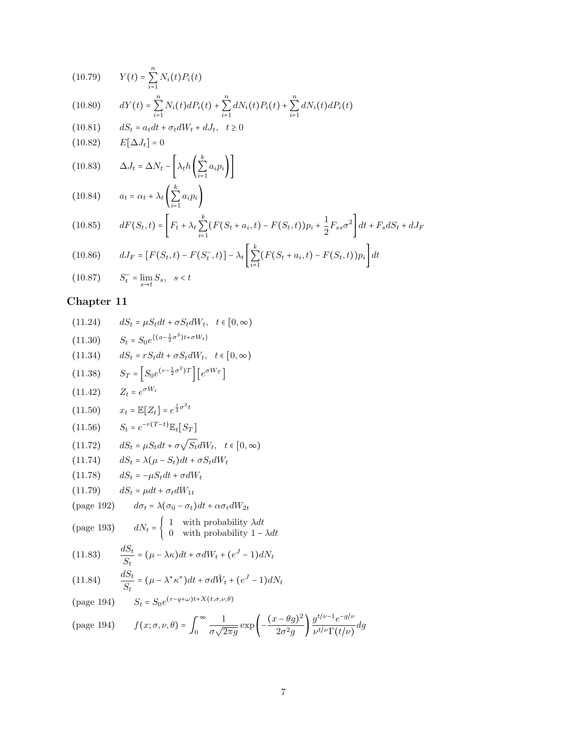(10.79) 
$$
Y(t) = \sum_{i=1}^{n} N_i(t) P_i(t)
$$
  
(10.80) 
$$
dY(t) = \sum_{i=1}^{n} N_i(t) dP_i(t) + \sum_{i=1}^{n} dN_i(t) P_i(t) + \sum_{i=1}^{n} dN_i(t) dP_i(t)
$$
  
(10.81) 
$$
dS_t = a_t dt + \sigma_t dW_t + dJ_t, \quad t \ge 0
$$

$$
(10.82) \t E[\Delta J_t] = 0
$$

(10.83) 
$$
\Delta J_t = \Delta N_t - \left[ \lambda_t h \left( \sum_{i=1}^k a_i p_i \right) \right]
$$

$$
(10.84) \qquad a_t = \alpha_t + \lambda_t \left( \sum_{i=1}^k a_i p_i \right)
$$

(10.85) 
$$
dF(S_t, t) = \left[ F_t + \lambda_t \sum_{i=1}^k (F(S_t + a_i, t) - F(S_t, t)) p_i + \frac{1}{2} F_{ss} \sigma^2 \right] dt + F_s dS_t + dJ_F
$$

(10.86) 
$$
dJ_F = [F(S_t, t) - F(S_t^-, t)] - \lambda_t \left[ \sum_{i=1}^k (F(S_t + a_i, t) - F(S_t, t)) p_i \right] dt
$$
  
(10.87) 
$$
S_t^- = \lim_{s \to t} S_s, \quad s < t
$$

(11.24) 
$$
dS_t = \mu S_t dt + \sigma S_t dW_t, \quad t \in [0, \infty)
$$

(11.30) 
$$
S_t = S_0 e^{\{(a-\frac{1}{2}\sigma^2)t + \sigma W_t\}}
$$

(11.34) 
$$
dS_t = rS_t dt + \sigma S_t dW_t, \quad t \in [0, \infty)
$$

$$
(11.38) \tS_T = \left[ S_0 e^{(r - \frac{1}{2}\sigma^2)T} \right] \left[ e^{\sigma W_T} \right]
$$

$$
(11.42) \t Z_t = e^{\sigma W_t}
$$

$$
(11.50) \t x_t = \mathbb{E}[Z_t] = e^{\frac{1}{2}\sigma^2 t}
$$

$$
(11.56) \qquad S_t = e^{-r(T-t)} \mathbb{E}_t[S_T]
$$

$$
(11.72) \t dS_t = \mu S_t dt + \sigma \sqrt{S_t} dW_t, \quad t \in [0, \infty)
$$

$$
(11.74) \t dS_t = \lambda(\mu - S_t)dt + \sigma S_t dW_t
$$

$$
(11.78) \qquad dS_t = -\mu S_t dt + \sigma dW_t
$$

$$
(11.79) \qquad dS_t = \mu dt + \sigma_t dW_{1t}
$$

$$
\text{(page 192)} \qquad d\sigma_t = \lambda(\sigma_0 - \sigma_t)dt + \alpha \sigma_t dW_{2t}
$$

(page 193) 
$$
dN_t = \begin{cases} 1 & \text{with probability } \lambda dt \\ 0 & \text{with probability } 1 - \lambda dt \end{cases}
$$

(11.83) 
$$
\frac{dS_t}{S_t} = (\mu - \lambda \kappa)dt + \sigma dW_t + (e^J - 1)dN_t
$$

(11.84) 
$$
\frac{dS_t}{S_t} = (\mu - \lambda^* \kappa^*) dt + \sigma d\tilde{W}_t + (e^J - 1) dN_t
$$

$$
\text{(page 194)} \qquad S_t = S_0 e^{(r - q + \omega)t + X(t; \sigma, \nu, \theta)}
$$

(page 194) 
$$
f(x; \sigma, \nu, \theta) = \int_0^\infty \frac{1}{\sigma \sqrt{2\pi g}} \exp\left(-\frac{(x-\theta g)^2}{2\sigma^2 g}\right) \frac{g^{t/\nu - 1} e^{-g/\nu}}{\nu^{t/\nu} \Gamma(t/\nu)} dg
$$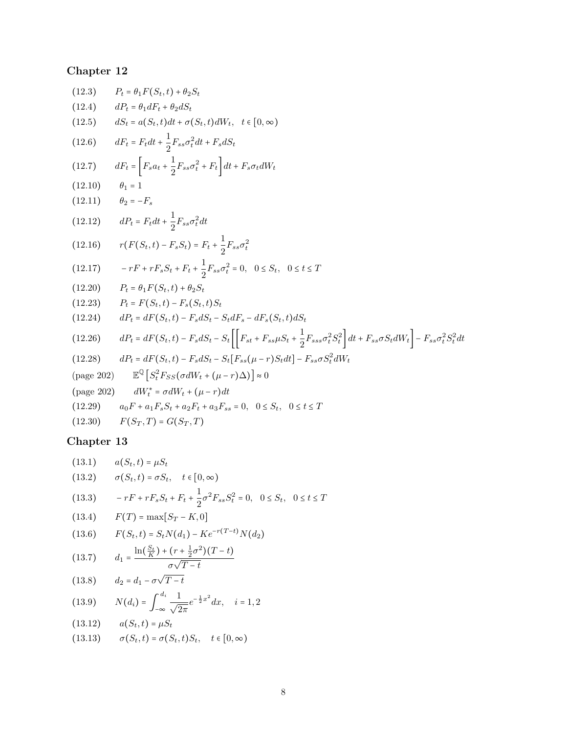| (12.3)                      | $P_t = \theta_1 F(S_t, t) + \theta_2 S_t$                                                                                                                                                 |
|-----------------------------|-------------------------------------------------------------------------------------------------------------------------------------------------------------------------------------------|
| (12.4)                      | $dP_t = \theta_1 dF_t + \theta_2 dS_t$                                                                                                                                                    |
| (12.5)                      | $dS_t = a(S_t, t)dt + \sigma(S_t, t)dW_t, t \in [0, \infty)$                                                                                                                              |
| (12.6)                      | $dF_t = F_t dt + \frac{1}{2} F_{ss} \sigma_t^2 dt + F_s dS_t$                                                                                                                             |
| (12.7)                      | $dF_t = \left[ F_s a_t + \frac{1}{2} F_{ss} \sigma_t^2 + F_t \right] dt + F_s \sigma_t dW_t$                                                                                              |
| (12.10)                     | $\theta_1=1$                                                                                                                                                                              |
| $(12.11)$ $\theta_2 = -F_s$ |                                                                                                                                                                                           |
| (12.12)                     | $dP_t = F_t dt + \frac{1}{2} F_{ss} \sigma_t^2 dt$                                                                                                                                        |
| (12.16)                     | $r(F(S_t,t) - F_sS_t) = F_t + \frac{1}{2}F_{ss}\sigma_t^2$                                                                                                                                |
| (12.17)                     | $-rF + rF_sS_t + F_t + \frac{1}{2}F_{ss}\sigma_t^2 = 0$ , $0 \leq S_t$ , $0 \leq t \leq T$                                                                                                |
|                             | $(12.20)$ $P_t = \theta_1 F(S_t, t) + \theta_2 S_t$                                                                                                                                       |
|                             | $(12.23)$ $P_t = F(S_t, t) - F_s(S_t, t)S_t$                                                                                                                                              |
| (12.24)                     | $dP_t = dF(S_t, t) - F_s dS_t - S_t dF_s - dF_s(S_t, t) dS_t$                                                                                                                             |
| (12.26)                     | $dP_t = dF(S_t,t) - F_s dS_t - S_t \left[ \left[ F_{st} + F_{ss} \mu S_t + \frac{1}{2} F_{sss} \sigma_t^2 S_t^2 \right] dt + F_{ss} \sigma S_t dW_t \right] - F_{ss} \sigma_t^2 S_t^2 dt$ |
| (12.28)                     | $dP_t = dF(S_t, t) - F_s dS_t - S_t[F_{ss}(\mu - r)S_t dt] - F_{ss} \sigma S_t^2 dW_t$                                                                                                    |
| $(\text{page 202})$         | $\mathbb{E}^{\mathbb{Q}}\left[S_t^2F_{SS}(\sigma dW_t + (\mu - r)\Delta)\right] \approx 0$                                                                                                |
| $(\text{page }202)$         | $dW_t^* = \sigma dW_t + (\mu - r)dt$                                                                                                                                                      |
| (12.29)                     | $a_0F + a_1F_sS_t + a_2F_t + a_3F_{ss} = 0$ , $0 \leq S_t$ , $0 \leq t \leq T$                                                                                                            |
|                             | $(12.30)$ $F(S_T, T) = G(S_T, T)$                                                                                                                                                         |
|                             |                                                                                                                                                                                           |

(13.1) 
$$
a(S_t, t) = \mu S_t
$$
  
\n(13.2)  $\sigma(S_t, t) = \sigma S_t, \quad t \in [0, \infty)$   
\n(13.3)  $-rF + rF_s S_t + F_t + \frac{1}{2} \sigma^2 F_{ss} S_t^2 = 0, \quad 0 \le S_t, \quad 0 \le t \le T$   
\n(13.4)  $F(T) = \max[S_T - K, 0]$   
\n(13.6)  $F(S_t, t) = S_t N(d_1) - Ke^{-r(T-t)} N(d_2)$   
\n(13.7)  $d_1 = \frac{\ln(\frac{S_t}{K}) + (r + \frac{1}{2} \sigma^2)(T - t)}{\sigma \sqrt{T - t}}$   
\n(13.8)  $d_2 = d_1 - \sigma \sqrt{T - t}$ 

(13.9) 
$$
N(d_i) = \int_{-\infty}^{d_i} \frac{1}{\sqrt{2\pi}} e^{-\frac{1}{2}x^2} dx, \quad i = 1, 2
$$

(13.12) 
$$
a(S_t, t) = \mu S_t
$$
  
(13.13) 
$$
\sigma(S_t, t) = \sigma(S_t, t) S_t, \quad t \in [0, \infty)
$$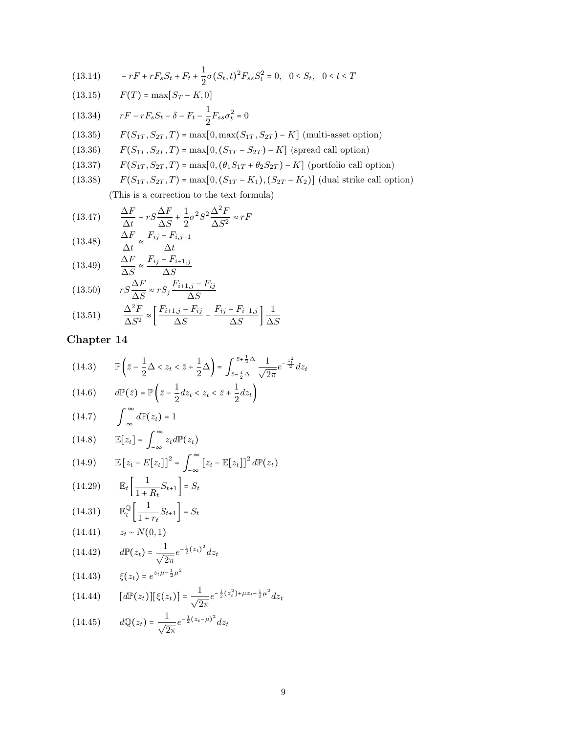$$
(13.14) \t -rF + rF_sS_t + F_t + \frac{1}{2}\sigma(S_t, t)^2F_{ss}S_t^2 = 0, \t 0 \le S_t, \t 0 \le t \le T
$$

(13.15) 
$$
F(T) = \max[S_T - K, 0]
$$

(13.34) 
$$
rF - rF_sS_t - \delta - F_t - \frac{1}{2}F_{ss}\sigma_t^2 = 0
$$

- (13.35)  $F(S_{1T}, S_{2T}, T) = \max[0, \max(S_{1T}, S_{2T}) K]$  (multi-asset option)
- (13.36)  $F(S_{1T}, S_{2T}, T) = \max[0, (S_{1T} S_{2T}) K]$  (spread call option)<br>(13.37)  $F(S_{1T}, S_{2T}, T) = \max[0, (\theta_1 S_{1T} + \theta_2 S_{2T}) K]$  (portfolio call o
- (13.37)  $F(S_{1T}, S_{2T}, T) = \max[0, (\theta_1 S_{1T} + \theta_2 S_{2T}) K]$  (portfolio call option)<br>(13.38)  $F(S_{1T}, S_{2T}, T) = \max[0, (S_{1T} K_1), (S_{2T} K_2)]$  (dual strike call option)
- $F(S_{1T}, S_{2T}, T) = \max[0, (S_{1T} K_1), (S_{2T} K_2)]$  (dual strike call option)

(This is a correction to the text formula)

(13.47) 
$$
\frac{\Delta F}{\Delta t} + rS\frac{\Delta F}{\Delta S} + \frac{1}{2}\sigma^2 S^2 \frac{\Delta^2 F}{\Delta S^2} \approx rF
$$

$$
(13.48) \qquad \frac{\Delta F}{\Delta t} \approx \frac{F_{ij} - F_{i,j-1}}{\Delta t}
$$

$$
(13.49) \qquad \frac{\Delta F}{\Delta S} \approx \frac{F_{ij} - F_{i-1,j}}{\Delta S}
$$

(13.50) 
$$
rS\frac{\Delta F}{\Delta S} \approx rS_j \frac{F_{i+1,j} - F_{ij}}{\Delta S}
$$

$$
\Delta^2 F \quad [F_{i+1,j} - F_{ij} \quad F_{ij}]
$$

$$
(13.51) \qquad \frac{\Delta^2 F}{\Delta S^2} \approx \left[ \frac{F_{i+1,j} - F_{ij}}{\Delta S} - \frac{F_{ij} - F_{i-1,j}}{\Delta S} \right] \frac{1}{\Delta S}
$$

(14.3) 
$$
\mathbb{P}\left(\bar{z} - \frac{1}{2}\Delta < z_t < \bar{z} + \frac{1}{2}\Delta\right) = \int_{\bar{z} - \frac{1}{2}\Delta}^{\bar{z} + \frac{1}{2}\Delta} \frac{1}{\sqrt{2\pi}} e^{-\frac{z_t^2}{2}} dz_t
$$
\n(14.6) 
$$
d\mathbb{P}(\bar{z}) = \mathbb{P}\left(\bar{z} - \frac{1}{2}dz_t < z_t < \bar{z} + \frac{1}{2}dz_t\right)
$$

(14.6) 
$$
d\mathbb{P}(\bar{z}) = \mathbb{P}\left(\bar{z} - \frac{1}{2}dz_t < z_t < \bar{z} + \frac{1}{2}d\right)
$$

$$
(14.7) \qquad \int_{-\infty}^{\infty} d\mathbb{P}(z_t) = 1
$$

$$
(14.8) \t\t\t\t\mathbb{E}[z_t] = \int_{-\infty}^{\infty} z_t d\mathbb{P}(z_t)
$$

(14.9) 
$$
\mathbb{E}\left[z_t - E[z_t]\right]^2 = \int_{-\infty}^{\infty} \left[z_t - \mathbb{E}[z_t]\right]^2 d\mathbb{P}(z_t)
$$

$$
(14.29) \qquad \mathbb{E}_t \left[ \frac{1}{1+R_t} S_{t+1} \right] = S_t
$$

(14.31) 
$$
\mathbb{E}_{t}^{\mathbb{Q}}\left[\frac{1}{1+r_{t}}S_{t+1}\right] = S_{t}
$$

$$
(14.41) \qquad z_{t} \sim N(0,1)
$$

(14.42) 
$$
d\mathbb{P}(z_t) = \frac{1}{\sqrt{2\pi}} e^{-\frac{1}{2}(z_t)^2} dz_t
$$

$$
(14.43) \qquad \xi(z_t) = e^{z_t \mu - \frac{1}{2} \mu^2}
$$

$$
(14.44) \qquad [d\mathbb{P}(z_t)][\xi(z_t)] = \frac{1}{\sqrt{2\pi}}e^{-\frac{1}{2}(z_t^2) + \mu z_t - \frac{1}{2}\mu^2}dz_t
$$

(14.45) 
$$
d\mathbb{Q}(z_t) = \frac{1}{\sqrt{2\pi}} e^{-\frac{1}{2}(z_t - \mu)^2} dz_t
$$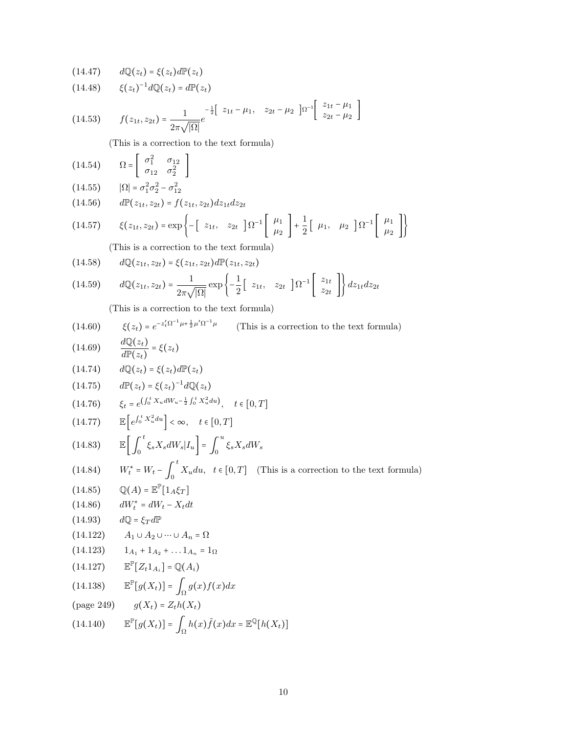(14.47) 
$$
dQ(z_t) = \xi(z_t)dP(z_t)
$$
  
\n(14.48)  $\xi(z_t)^{-1}dQ(z_t) = dP(z_t)$   
\n(14.53)  $f(z_{1t}, z_{2t}) = \frac{1}{2\pi\sqrt{|\Omega|}}e^{-\frac{1}{2}[2t - \mu_1, 2t - \mu_2]}\left[\frac{z_{1t} - \mu_1}{z_{2t} - \mu_2}\right]$   
\n(14.54)  $\Omega = \begin{bmatrix} \sigma_1^2 & \sigma_{12} \\ \sigma_{12} & \sigma_2^2 \end{bmatrix}$   
\n(14.55)  $|\Omega| = \sigma_1^2 \sigma_2^2 - \sigma_{12}^2$   
\n(14.56)  $dP(z_1, z_{2t}) = f(z_{1t}, z_{2t})dz_{1t}dz_{2t}$   
\n(14.57)  $\xi(z_{1t}, z_{2t}) = \exp\left\{-\begin{bmatrix} z_{1t}, z_{2t} \end{bmatrix} \Omega^{-1} \begin{bmatrix} \mu_1 \\ \mu_2 \end{bmatrix} + \frac{1}{2} \begin{bmatrix} \mu_1, \mu_2 \end{bmatrix} \Omega^{-1} \begin{bmatrix} \mu_1 \\ \mu_2 \end{bmatrix}\right\}$   
\n(14.59)  $dQ(z_{1t}, z_{2t}) = \xi(z_{1t}, z_{2t})dP(z_{1t}, z_{2t})$   
\n(14.50)  $dQ(z_1, z_{2t}) = \xi(z_{1t}, z_{2t})dP(z_{1t}, z_{2t})$   
\n(14.51)  $dQ(z_1, z_{2t}) = \frac{1}{2\pi\sqrt{|\Omega|}} \exp\left\{-\frac{1}{2} \begin{bmatrix} z_{1t}, z_{2t} \end{bmatrix} \Omega^{-1} \begin{bmatrix} z_{1t} \\ z_{2t} \end{bmatrix} \right\} dz_{1t}dz_{2t}$   
\n(This is a correction to the text formula)  
\n(14.60)  $\xi(z_t) = e^{-z'_t \Omega^{-1} \mu + \frac{1}{2}\mu'\Omega^{-1} \mu}$  (This is a correction to the text formula)  
\n(14.60)  $\xi(z_t) = \xi(z_t) dP(z_t)$   
\n(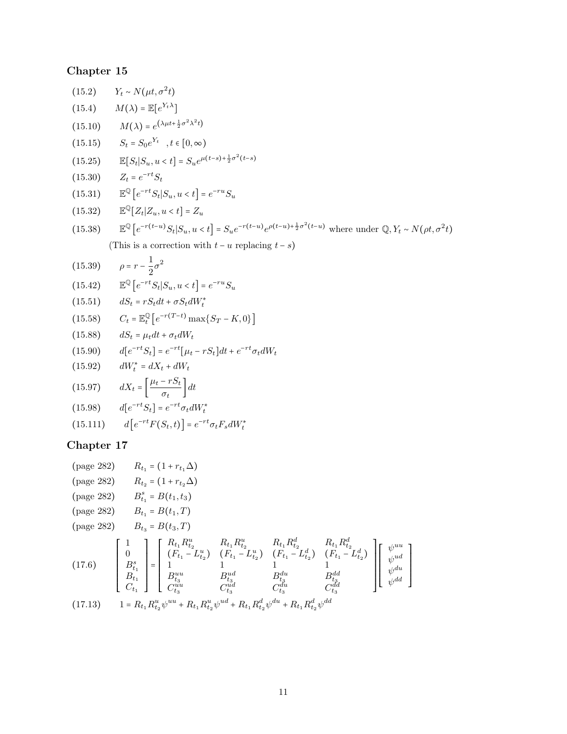|            | (15.2) $Y_t \sim N(\mu t, \sigma^2 t)$                                                                                                                                            |  |
|------------|-----------------------------------------------------------------------------------------------------------------------------------------------------------------------------------|--|
|            | $(15.4)$ $M(\lambda) = \mathbb{E}[e^{Y_t \lambda}]$                                                                                                                               |  |
|            | (15.10) $M(\lambda) = e^{(\lambda \mu t + \frac{1}{2}\sigma^2 \lambda^2 t)}$                                                                                                      |  |
| (15.15)    | $S_t = S_0 e^{Y_t}$ , $t \in [0, \infty)$                                                                                                                                         |  |
|            | (15.25) $\mathbb{E}[S_t S_u, u < t] = S_u e^{\mu(t-s) + \frac{1}{2}\sigma^2(t-s)}$                                                                                                |  |
|            | $(15.30)$ $Z_t = e^{-rt}S_t$                                                                                                                                                      |  |
| (15.31)    | $\mathbb{E}^{\mathbb{Q}}\left[e^{-rt}S_t S_u, u$                                                                                                                                  |  |
|            | (15.32) $\mathbb{E}^{\mathbb{Q}}[Z_t Z_u, u < t] = Z_u$                                                                                                                           |  |
| (15.38)    | $\mathbb{E}^{\mathbb{Q}}\left[e^{-r(t-u)}S_t S_u, u < t\right] = S_u e^{-r(t-u)} e^{\rho(t-u)+\frac{1}{2}\sigma^2(t-u)}$ where under $\mathbb{Q}, Y_t \sim N(\rho t, \sigma^2 t)$ |  |
|            | (This is a correction with $t - u$ replacing $t - s$ )                                                                                                                            |  |
| (15.39)    | $\rho = r - \frac{1}{2}\sigma^2$                                                                                                                                                  |  |
|            | (15.42) $\mathbb{E}^{\mathbb{Q}}[e^{-rt}S_t S_u, u < t] = e^{-ru}S_u$                                                                                                             |  |
|            | $(15.51)$ $dS_t = rS_t dt + \sigma S_t dW_t^*$                                                                                                                                    |  |
|            | (15.58) $C_t = \mathbb{E}_t^{\mathbb{Q}} \left[ e^{-r(T-t)} \max\{S_T - K, 0\} \right]$                                                                                           |  |
| (15.88)    | $dS_t = \mu_t dt + \sigma_t dW_t$                                                                                                                                                 |  |
|            | (15.90) $d[e^{-rt}S_t] = e^{-rt}[\mu_t - rS_t]dt + e^{-rt}\sigma_t dW_t$                                                                                                          |  |
| (15.92)    | $dW_t^* = dX_t + dW_t$                                                                                                                                                            |  |
|            | (15.97) $dX_t = \left[\frac{\mu_t - rS_t}{\sigma_t}\right]dt$                                                                                                                     |  |
|            | (15.98) $d[e^{-rt}S_t] = e^{-rt}\sigma_t dW_t^*$                                                                                                                                  |  |
|            | (15.111) $d\left[e^{-rt}F(S_t,t)\right] = e^{-rt}\sigma_t F_s dW_t^*$                                                                                                             |  |
| Chapter 17 |                                                                                                                                                                                   |  |

(page 282) 
$$
R_{t_1} = (1 + r_{t_1} \Delta)
$$

\n(page 282)  $R_{t_2} = (1 + r_{t_2} \Delta)$ 

\n(page 282)  $B_{t_1} = B(t_1, t_3)$ 

\n(page 282)  $B_{t_1} = B(t_1, T)$ 

\n(page 282)  $B_{t_2} = B(t_3, T)$ 

\n(page 283)  $B_{t_3} = B(t_3, T)$ 

\n(page 284)  $B_{t_4} = B(t_4, T)$ 

\n(page 285)  $B_{t_5} = B(t_5, T)$ 

\n(page 286)  $B_{t_6} = B(t_6, T)$ 

\n(17.6)  $\begin{bmatrix} 1 \\ 0 \\ B_{t_1}^s \\ B_{t_2}^t \\ B_{t_3}^t \\ C_{t_1} \end{bmatrix} = \begin{bmatrix} R_{t_1} R_{t_2}^u & R_{t_1} R_{t_2}^u & R_{t_1} R_{t_2}^d & R_{t_1} R_{t_2}^d \\ (F_{t_1} - L_{t_2}^u) & (F_{t_1} - L_{t_2}^d) & (F_{t_1} - L_{t_2}^d) \\ 1 & 1 & 1 \\ 1 & 1 & 1 \\ 1 & 1 & 1 \\ 1 & 1 & 1 \\ 1 & 1 & 1 \\ 1 & 1 & 1 \\ 1 & 1 & 1 \\ 1 & 1 & 1 \\ 1 & 1 & 1 \\ 1 & 1 & 1 \\ 1 & 1 & 1 \\ 1 & 1 & 1 \\ 1 & 1 & 1 \\ 1 & 1 & 1 \\ 1 & 1 & 1 \\ 1 & 1 & 1 \\ 1 & 1 & 1 \\ 1 & 1 & 1 \\ 1 & 1 & 1 \\ 1 & 1 & 1 \\ 1 & 1 & 1 \\ 1 & 1 & 1 \\ 1 & 1 & 1 \\ 1$ 

 $\mathbf{I}$  $\mathbf l$  $\overline{\phantom{a}}$  $\overline{\phantom{a}}$  $\overline{\phantom{a}}$  $\overline{\phantom{a}}$  $\overline{\phantom{a}}$ ⎥ t,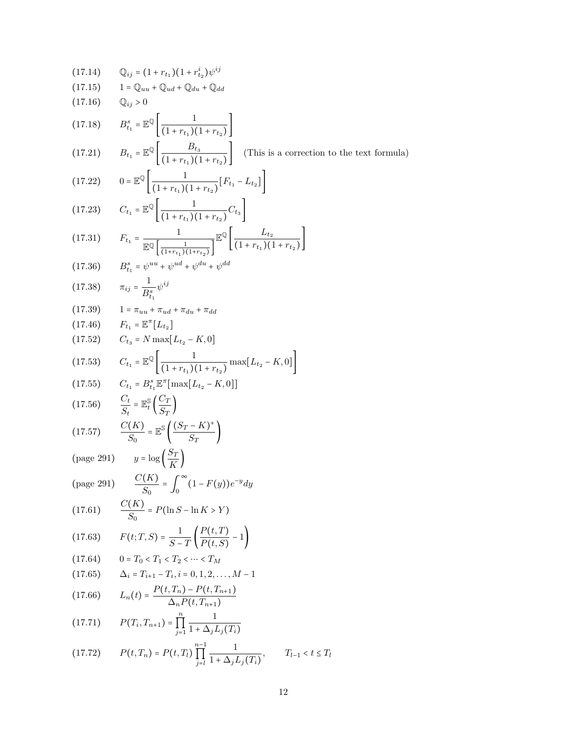(17.14) 
$$
\mathbb{Q}_{ij} = (1 + r_{i_1})(1 + r_{i_2}^i)\psi^{ij}
$$
\n(17.15) 
$$
1 = \mathbb{Q}_{uu} + \mathbb{Q}_{ud} + \mathbb{Q}_{du} + \mathbb{Q}_{dd}
$$
\n(17.16) 
$$
\mathbb{Q}_{ij} > 0
$$
\n(17.18) 
$$
B_{i_1}^s = \mathbb{E}^{\mathbb{Q}}\left[\frac{1}{(1 + r_{i_1})(1 + r_{i_2})}\right]
$$
\n(17.21) 
$$
B_{i_1} = \mathbb{E}^{\mathbb{Q}}\left[\frac{B_{i_2}}{(1 + r_{i_1})(1 + r_{i_2})}\right]
$$
\n(17.22) 
$$
0 = \mathbb{E}^{\mathbb{Q}}\left[\frac{1}{(1 + r_{i_1})(1 + r_{i_2})}(F_{i_1} - L_{i_2})\right]
$$
\n(17.23) 
$$
C_{i_1} = \mathbb{E}^{\mathbb{Q}}\left[\frac{1}{(1 + r_{i_1})(1 + r_{i_2})}F_{i_1} - L_{i_2}\right]
$$
\n(17.31) 
$$
F_{i_1} = \frac{1}{\mathbb{E}^{\mathbb{Q}}\left[\frac{1}{(1 + r_{i_1})(1 + r_{i_2})}\right]} \mathbb{E}^{\mathbb{Q}}\left[\frac{L_{i_2}}{(1 + r_{i_1})(1 + r_{i_2})}\right]
$$
\n(17.36) 
$$
B_{i_1}^s = \psi^{0i} + \psi^{0i} + \psi^{0i} + \psi^{0i}
$$
\n(17.37) 
$$
t = \psi^{0i} + \psi^{0i} + \psi^{0i} + \psi^{0i}
$$
\n(17.58) 
$$
\tau_{ij} = \frac{1}{B_{i_1}} \psi^{ij}
$$
\n(17.59) 
$$
1 = \pi_{uu} + \pi_{ud} + \pi_{du} + \pi_{dd}
$$
\n(17.50) 
$$
C_{i_1} = \mathbb{E}^{\mathbb{Q}}\left[\frac{1}{(1 + r_{i_1})(1 + r_{i_2})}\max[L_{i_2} - K, 0
$$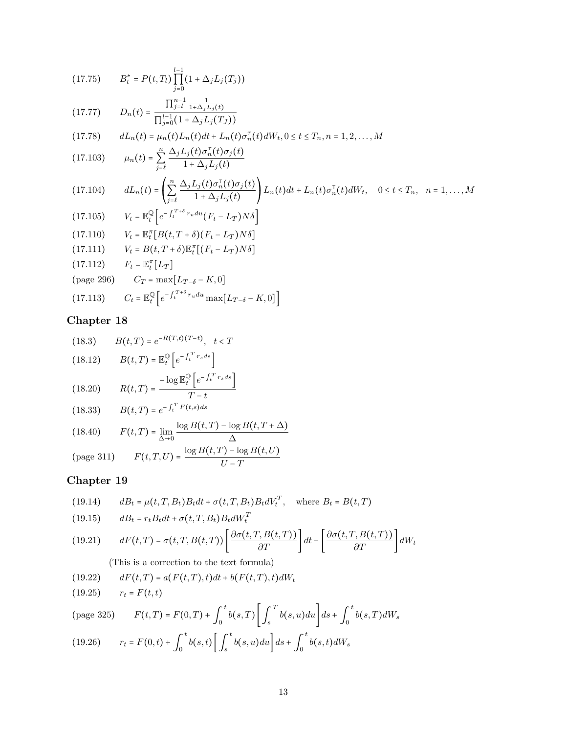(17.75) 
$$
B_{t}^{*} = P(t, T_{i}) \prod_{j=0}^{l-1} (1 + \Delta_{j} L_{j}(T_{j}))
$$
\n(17.77) 
$$
D_{n}(t) = \frac{\prod_{j=1}^{n-1} \frac{1}{1 + \Delta_{j} L_{j}(t)}}{\prod_{j=0}^{l-1} (1 + \Delta_{j} L_{j}(T_{J}))}
$$
\n(17.78) 
$$
dL_{n}(t) = \mu_{n}(t) L_{n}(t) dt + L_{n}(t) \sigma_{n}^{T}(t) dW_{t}, 0 \leq t \leq T_{n}, n = 1, 2, ..., M
$$
\n(17.103) 
$$
\mu_{n}(t) = \sum_{j=\ell}^{n} \frac{\Delta_{j} L_{j}(t) \sigma_{n}^{T}(t) \sigma_{j}(t)}{1 + \Delta_{j} L_{j}(t)}
$$
\n(17.104) 
$$
dL_{n}(t) = \left( \sum_{j=\ell}^{n} \frac{\Delta_{j} L_{j}(t) \sigma_{n}^{T}(t) \sigma_{j}(t)}{1 + \Delta_{j} L_{j}(t)} \right) L_{n}(t) dt + L_{n}(t) \sigma_{n}^{T}(t) dW_{t}, \quad 0 \leq t \leq T_{n}, \quad n = 1, ..., M
$$
\n(17.105) 
$$
V_{t} = \mathbb{E}_{t}^{\mathbb{Q}} \left[ e^{-\int_{t}^{T+\delta} r_{u} du} (F_{t} - L_{T}) N \delta \right]
$$
\n(17.111) 
$$
V_{t} = B(t, T + \delta) \mathbb{E}_{t}^{\pi} \left[ (F_{t} - L_{T}) N \delta \right]
$$
\n(17.112) 
$$
F_{t} = \mathbb{E}_{t}^{\pi} \left[ L_{T} \right]
$$
\n(page 296) 
$$
C_{T} = \max[L_{T-\delta} - K, 0]
$$

$$
(17.113) \t Ct = \mathbb{E}_{t}^{\mathbb{Q}} \left[ e^{-\int_{t}^{T+\delta} r_u du} \max[L_{T-\delta} - K, 0] \right]
$$

(18.3) 
$$
B(t,T) = e^{-R(T,t)(T-t)}, \quad t < T
$$
  
\n(18.12) 
$$
B(t,T) = \mathbb{E}_{t}^{\mathbb{Q}} \left[ e^{-\int_{t}^{T} r_{s} ds} \right]
$$
  
\n(18.20) 
$$
R(t,T) = \frac{-\log \mathbb{E}_{t}^{\mathbb{Q}} \left[ e^{-\int_{t}^{T} r_{s} ds} \right]}{T-t}
$$
  
\n(18.33) 
$$
B(t,T) = e^{-\int_{t}^{T} F(t,s) ds}
$$
  
\n(18.40) 
$$
F(t,T) = \lim_{\Delta \to 0} \frac{\log B(t,T) - \log B(t,T+\Delta)}{\Delta}
$$
  
\n(page 311) 
$$
F(t,T,U) = \frac{\log B(t,T) - \log B(t,U)}{U-T}
$$

## Chapter 19

(19.14) 
$$
dB_t = \mu(t, T, B_t)B_t dt + \sigma(t, T, B_t)B_t dV_t^T, \text{ where } B_t = B(t, T)
$$
  
(19.15) 
$$
dB_t = r_t B_t dt + \sigma(t, T, B_t)B_t dW_t^T
$$
  
(19.31) 
$$
dW_t^T = \left(\frac{\partial \sigma(t, T, B(t, T))}{\partial \sigma(t, T, B(t, T))}\right) \left[\frac{\partial \sigma(t, T, B(t, T))}{\partial \sigma(t, T, B(t, T))}\right] \left[\frac{\partial \sigma(t, T, B(t, T))}{\partial \sigma(t, T, B(t, T))}\right]
$$

(19.21) 
$$
dF(t,T) = \sigma(t,T,B(t,T)) \left[ \frac{\partial \sigma(t,T,B(t,T))}{\partial T} \right] dt - \left[ \frac{\partial \sigma(t,T,B(t,T))}{\partial T} \right] dW_t
$$

(This is a correction to the text formula)

(19.22) 
$$
dF(t,T) = a(F(t,T),t)dt + b(F(t,T),t)dW_t
$$

(19.25) 
$$
r_t = F(t, t)
$$
  
\n(page 325)  $F(t, T) = F(0, T) + \int_0^t b(s, T) \left[ \int_s^T b(s, u) du \right] ds + \int_0^t b(s, T) dW_s$   
\n(19.26)  $r_t = F(0, t) + \int_0^t b(s, t) \left[ \int_s^t b(s, u) du \right] ds + \int_0^t b(s, t) dW_s$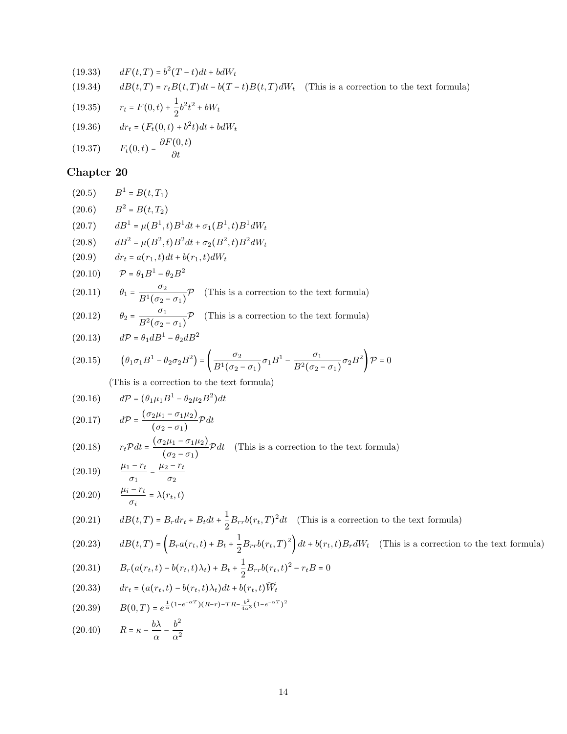(19.33) 
$$
dF(t,T) = b^2(T-t)dt + bdW_t
$$
  
\n(19.34) 
$$
dB(t,T) = r_tB(t,T)dt - b(T-t)B(t,T)dW_t
$$
 (This is a correction to the text formula)  
\n(19.35) 
$$
r_t = F(0,t) + \frac{1}{2}b^2t^2 + bW_t
$$
  
\n(19.36) 
$$
dr_t = (F_t(0,t) + b^2t)dt + bdW_t
$$

$$
(19.36) \t dr_t = (F_t(0,t) + b^2t)dt + ba
$$

$$
F(t) \to b
$$

$$
(19.37) \tF_t(0,t) = \frac{\partial F(0,t)}{\partial t}
$$

 $\mathbf{1}$ 

## Chapter 20

(20.5) 
$$
B^1 = B(t, T_1)
$$
  
\n(20.6)  $B^2 = B(t, T_2)$   
\n(20.7)  $dB^1 = \mu(B^1, t)B^1 dt + \sigma_1(B^1, t)B^1 dW_t$   
\n(20.8)  $dB^2 = \mu(B^2, t)B^2 dt + \sigma_2(B^2, t)B^2 dW_t$   
\n(20.9)  $dr_t = a(r_1, t)dt + b(r_1, t)dW_t$   
\n(20.10)  $\mathcal{P} = \theta_1 B^1 - \theta_2 B^2$   
\n(20.11)  $\theta_1 = \frac{\sigma_2}{B^1(\sigma_2 - \sigma_1)} \mathcal{P}$  (This is a correction to the text formula)  
\n(20.12)  $\theta_2 = \frac{\sigma_1}{B^2(\sigma_2 - \sigma_1)} \mathcal{P}$  (This is a correction to the text formula)

(20.13) 
$$
d\mathcal{P} = \theta_1 dB^1 - \theta_2 dB^2
$$

(20.15) 
$$
(\theta_1 \sigma_1 B^1 - \theta_2 \sigma_2 B^2) = \left(\frac{\sigma_2}{B^1(\sigma_2 - \sigma_1)} \sigma_1 B^1 - \frac{\sigma_1}{B^2(\sigma_2 - \sigma_1)} \sigma_2 B^2\right) P = 0
$$

(This is a correction to the text formula)

$$
(20.16) \qquad d\mathcal{P} = (\theta_1 \mu_1 B^1 - \theta_2 \mu_2 B^2) dt
$$

(20.17) 
$$
d\mathcal{P} = \frac{(\sigma_2 \mu_1 - \sigma_1 \mu_2)}{(\sigma_2 - \sigma_1)} \mathcal{P} dt
$$

(20.18) 
$$
r_t \mathcal{P} dt = \frac{(\sigma_2 \mu_1 - \sigma_1 \mu_2)}{(\sigma_2 - \sigma_1)} \mathcal{P} dt \quad \text{(This is a correction to the text formula)}
$$

(20.19) 
$$
\frac{\mu_1 - r_t}{\sigma_1} = \frac{\mu_2 - r_t}{\sigma_2}
$$

$$
(20.20) \qquad \frac{\mu_i - r_t}{\sigma_i} = \lambda(r_t, t)
$$

(20.21) 
$$
dB(t,T) = B_r dr_t + B_t dt + \frac{1}{2} B_{rr} b(r_t,T)^2 dt
$$
 (This is a correction to the text formula)

(20.23) 
$$
dB(t,T) = \left(B_r a(r_t,t) + B_t + \frac{1}{2}B_{rr}b(r_t,T)^2\right)dt + b(r_t,t)B_r dW_t
$$
 (This is a correction to the text formula)

(20.31) 
$$
B_r(a(r_t,t) - b(r_t,t)\lambda_t) + B_t + \frac{1}{2}B_{rr}b(r_t,t)^2 - r_tB = 0
$$

(20.33) 
$$
dr_t = (a(r_t, t) - b(r_t, t)\lambda_t)dt + b(r_t, t)\widetilde{W}_t
$$

$$
(20.39) \qquad B(0,T) = e^{\frac{1}{\alpha}(1 - e^{-\alpha T})(R-r) - TR - \frac{b^2}{4\alpha^3}(1 - e^{-\alpha T})^2}
$$

(20.40) 
$$
R = \kappa - \frac{b\lambda}{\alpha} - \frac{b^2}{\alpha^2}
$$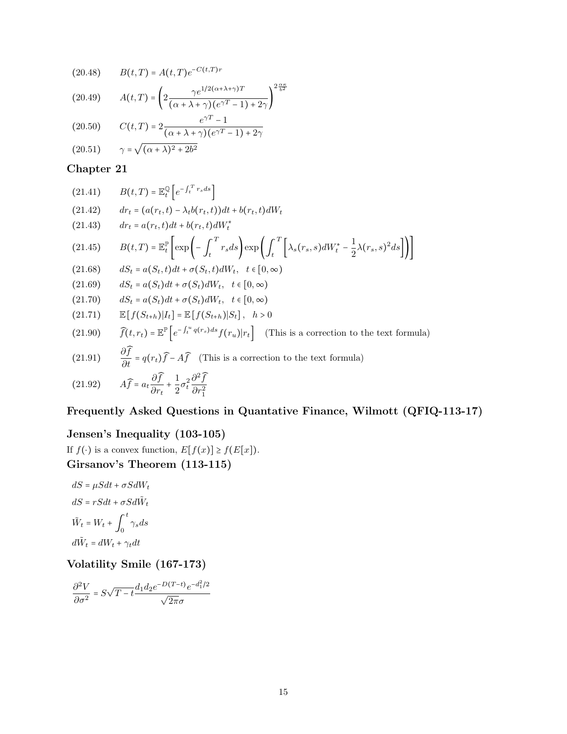(20.48) 
$$
B(t,T) = A(t,T)e^{-C(t,T)r}
$$

(20.49) 
$$
A(t,T) = \left(2 \frac{\gamma e^{1/2(\alpha+\lambda+\gamma)T}}{(\alpha+\lambda+\gamma)(e^{\gamma T}-1)+2\gamma}\right)^{2\frac{\alpha\kappa}{b^2}}
$$

(20.50) 
$$
C(t,T) = 2 \frac{e^{\gamma T} - 1}{(\alpha + \lambda + \gamma)(e^{\gamma T} - 1) + 2\gamma}
$$

$$
(20.51) \qquad \gamma = \sqrt{(\alpha + \lambda)^2 + 2b^2}
$$

$$
(21.41) \t B(t,T) = \mathbb{E}_t^{\mathbb{Q}} \left[ e^{-\int_t^T r_s ds} \right]
$$

(21.42) 
$$
dr_t = (a(r_t, t) - \lambda_t b(r_t, t))dt + b(r_t, t)dW_t
$$

(21.43) 
$$
dr_t = a(r_t, t)dt + b(r_t, t)dW_t^*
$$
  
(21.45) 
$$
B(t,T) = \mathbb{E}_t^{\mathbb{P}} \left[ \exp\left(-\int_t^T r_s ds\right) \exp\left(\int_t^T \left[\lambda_s(r_s, s) dW_t^* - \frac{1}{2}\lambda(r_s, s)^2 ds\right]\right) \right]
$$

$$
(21.68) \qquad dS_t = a(S_t, t)dt + \sigma(S_t, t)dW_t, \quad t \in [0, \infty)
$$

$$
(21.69) \qquad dS_t = a(S_t)dt + \sigma(S_t)dW_t, \quad t \in [0, \infty)
$$

$$
(21.70) \t dS_t = a(S_t)dt + \sigma(S_t)dW_t, \ t \in [0, \infty)
$$

(21.71) 
$$
\mathbb{E}[f(S_{t+h})|I_t] = \mathbb{E}[f(S_{t+h})|S_t], \quad h > 0
$$

(21.90) 
$$
\widehat{f}(t, r_t) = \mathbb{E}^{\mathbb{P}} \left[ e^{-\int_t^u q(r_s)ds} f(r_u) | r_t \right]
$$
 (This is a correction to the text formula)

(21.91) 
$$
\frac{\partial f}{\partial t} = q(r_t)\hat{f} - A\hat{f}
$$
 (This is a correction to the text formula)

(21.92) 
$$
A\widehat{f} = a_t \frac{\partial \widehat{f}}{\partial r_t} + \frac{1}{2} \sigma_t^2 \frac{\partial^2 \widehat{f}}{\partial r_1^2}
$$

#### Frequently Asked Questions in Quantative Finance, Wilmott (QFIQ-113-17)

### Jensen's Inequality (103-105)

If  $f(\cdot)$  is a convex function,  $E[f(x)] \ge f(E[x])$ . Girsanov's Theorem (113-115)

$$
dS = \mu S dt + \sigma S dW_t
$$

$$
dS = rS dt + \sigma S d\tilde{W}_t
$$

$$
\tilde{W}_t = W_t + \int_0^t \gamma_s ds
$$

$$
d\tilde{W}_t = dW_t + \gamma_t dt
$$

### Volatility Smile (167-173)

$$
\frac{\partial^2 V}{\partial \sigma^2} = S\sqrt{T-t} \frac{d_1 d_2 e^{-D(T-t)} e^{-d_1^2/2}}{\sqrt{2\pi}\sigma}
$$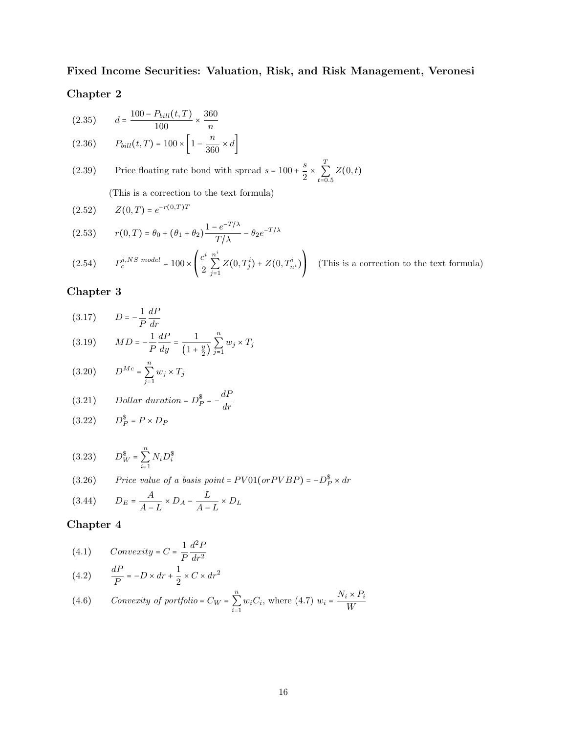#### Fixed Income Securities: Valuation, Risk, and Risk Management, Veronesi

#### Chapter 2

(2.35) 
$$
d = \frac{100 - P_{bill}(t, T)}{100} \times \frac{360}{n}
$$
  
(2.36) 
$$
P_{bill}(t, T) = 100 \times \left[1 - \frac{n}{360} \times d\right]
$$

(2.39) Price floating rate bond with spread  $s = 100 + \frac{s}{2}$  $\overline{2}$  ^  $\boldsymbol{\mathcal{I}}$  $\sum_{t=0.5} Z(0,t)$ 

(This is a correction to the text formula)

(2.52) 
$$
Z(0,T) = e^{-r(0,T)T}
$$

$$
(2.53) \t r(0,T) = \theta_0 + (\theta_1 + \theta_2) \frac{1 - e^{-T/\lambda}}{T/\lambda} - \theta_2 e^{-T/\lambda}
$$

(2.54) 
$$
P_c^{i,NS \ model} = 100 \times \left(\frac{c^i}{2} \sum_{j=1}^{n^i} Z(0, T_j^i) + Z(0, T_{n^i}^i)\right)
$$
 (This is a correction to the text formula)

#### Chapter 3

(3.17) 
$$
D = -\frac{1}{P} \frac{dP}{dr}
$$

(3.19) 
$$
MD = -\frac{1}{P}\frac{dP}{dy} = \frac{1}{\left(1 + \frac{y}{2}\right)}\sum_{j=1}^{n} w_j \times T_j
$$

$$
(3.20) \tD^{Mc} = \sum_{j=1}^{n} w_j \times T_j
$$

(3.21) *Dollar duration* = 
$$
D_P^{\$}
$$
 =  $-\frac{dP}{dr}$ 

$$
(3.22) \tD_P^{\$} = P \times D_P
$$

$$
(3.23) \t D_W^{\$} = \sum_{i=1}^{n} N_i D_i^{\$}
$$

(3.26) Price value of a basis point =  $PV01($ or  $PVBP)$  =  $-D_P^{\$}\times dr$ 

$$
(3.44) \qquad D_E = \frac{A}{A - L} \times D_A - \frac{L}{A - L} \times D_L
$$

(4.1) 
$$
Convexity = C = \frac{1}{P} \frac{d^2 P}{dr^2}
$$

$$
(4.2) \qquad \frac{dP}{P} = -D \times dr + \frac{1}{2} \times C \times dr^2
$$

(4.6) *Convexity of portfolio* = 
$$
C_W = \sum_{i=1}^{n} w_i C_i
$$
, where (4.7)  $w_i = \frac{N_i \times P_i}{W}$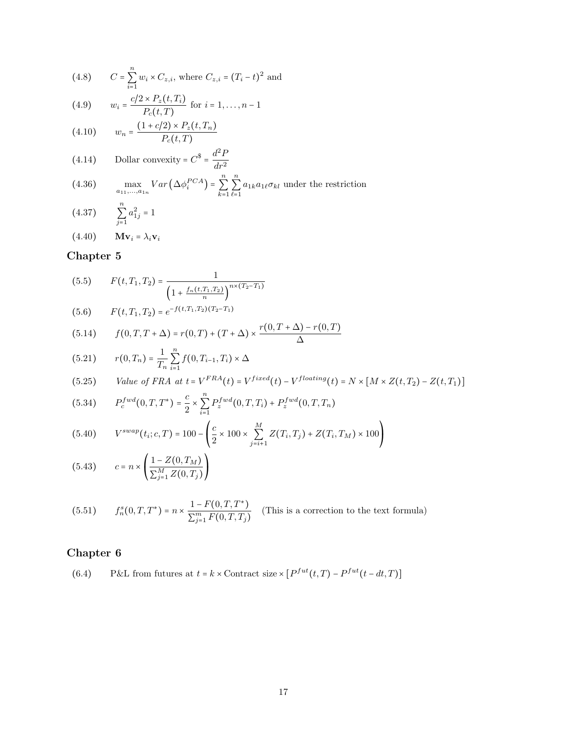(4.8) 
$$
C = \sum_{i=1}^{n} w_i \times C_{z,i}
$$
, where  $C_{z,i} = (T_i - t)^2$  and

(4.9) 
$$
w_i = \frac{c/2 \times P_z(t, T_i)}{P_c(t, T)}
$$
 for  $i = 1, ..., n-1$ 

(4.10) 
$$
w_n = \frac{(1 + c/2) \times P_z(t, T_n)}{P_c(t, T)}
$$

(4.14) 
$$
\text{Dollar convexity} = C^{\$} = \frac{d^2 P}{dr^2}
$$

(4.36) 
$$
\max_{a_{11},...,a_{1n}} Var\left(\Delta \phi_i^{PCA}\right) = \sum_{k=1}^n \sum_{\ell=1}^n a_{1k} a_{1\ell} \sigma_{kl} \text{ under the restriction}
$$

$$
(4.37) \qquad \sum_{j=1}^{n} a_{1j}^{2} = 1
$$

(4.40)  $\mathbf{M} \mathbf{v}_i = \lambda_i \mathbf{v}_i$ 

## Chapter 5

$$
(5.5) \tF(t, T_1, T_2) = \frac{1}{\left(1 + \frac{f_n(t, T_1, T_2)}{n}\right)^{n \times (T_2 - T_1)}}
$$

$$
(5.6) \tF(t,T_1,T_2) = e^{-f(t,T_1,T_2)(T_2-T_1)}
$$

(5.14) 
$$
f(0,T,T+\Delta) = r(0,T) + (T+\Delta) \times \frac{r(0,T+\Delta) - r(0,T)}{\Delta}
$$

(5.21) 
$$
r(0,T_n) = \frac{1}{T_n} \sum_{i=1}^n f(0,T_{i-1},T_i) \times \Delta
$$

(5.25) *Value of FRA at* 
$$
t = V^{FRA}(t) = V^{fixed}(t) - V^{floating}(t) = N \times [M \times Z(t, T_2) - Z(t, T_1)]
$$

(5.34) 
$$
P_c^{fwd}(0,T,T^*) = \frac{c}{2} \times \sum_{i=1}^n P_z^{fwd}(0,T,T_i) + P_z^{fwd}(0,T,T_n)
$$

$$
(5.40) \qquad V^{swap}(t_i; c, T) = 100 - \left(\frac{c}{2} \times 100 \times \sum_{j=i+1}^{M} Z(T_i, T_j) + Z(T_i, T_M) \times 100\right)
$$

(5.43) 
$$
c = n \times \left( \frac{1 - Z(0, T_M)}{\sum_{j=1}^{M} Z(0, T_j)} \right)
$$

(5.51) 
$$
f_n^s(0,T,T^*) = n \times \frac{1 - F(0,T,T^*)}{\sum_{j=1}^m F(0,T,T_j)}
$$
 (This is a correction to the text formula)

## Chapter 6

(6.4) P&L from futures at  $t = k \times$  Contract size  $\times [P^{fut}(t,T) - P^{fut}(t - dt,T)]$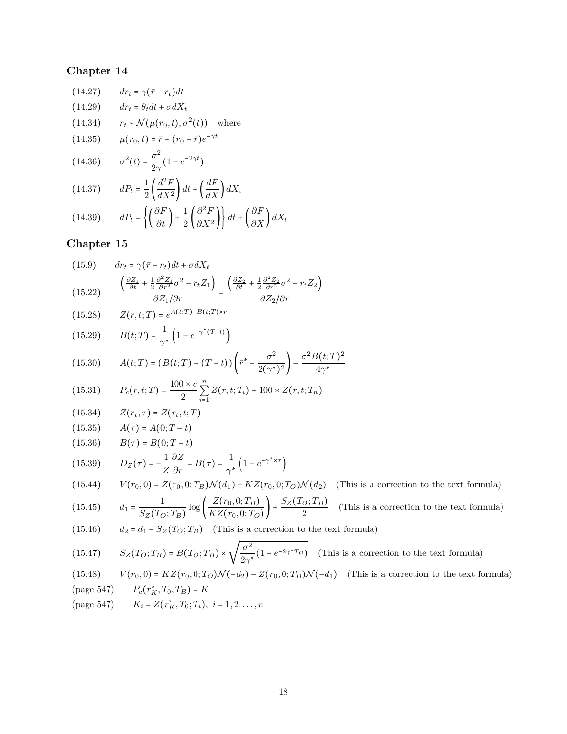(14.27) 
$$
dr_t = \gamma(\bar{r} - r_t)dt
$$
  
\n(14.29) 
$$
dr_t = \theta_t dt + \sigma dX_t
$$
  
\n(14.34) 
$$
r_t \sim \mathcal{N}(\mu(r_0, t), \sigma^2(t)) \text{ where}
$$
  
\n(14.35) 
$$
\mu(r_0, t) = \bar{r} + (r_0 - \bar{r})e^{-\gamma t}
$$
  
\n(14.36) 
$$
\sigma^2(t) = \frac{\sigma^2}{2\gamma}(1 - e^{-2\gamma t})
$$
  
\n(14.37) 
$$
dP_t = \frac{1}{2} \left(\frac{d^2F}{dX^2}\right)dt + \left(\frac{dF}{dX}\right)dX_t
$$

(14.39) 
$$
dP_t = \left\{ \left( \frac{\partial F}{\partial t} \right) + \frac{1}{2} \left( \frac{\partial^2 F}{\partial X^2} \right) \right\} dt + \left( \frac{\partial F}{\partial X} \right) dX_t
$$

(15.9) 
$$
dr_t = \gamma(\bar{r} - r_t)dt + \sigma dX_t
$$

$$
(15.22) \qquad \frac{\left(\frac{\partial Z_1}{\partial t} + \frac{1}{2}\frac{\partial^2 Z_1}{\partial r^2}\sigma^2 - r_t Z_1\right)}{\partial Z_1/\partial r} = \frac{\left(\frac{\partial Z_2}{\partial t} + \frac{1}{2}\frac{\partial^2 Z_2}{\partial r^2}\sigma^2 - r_t Z_2\right)}{\partial Z_2/\partial r}
$$

(15.28) 
$$
Z(r,t;T) = e^{A(t;T) - B(t;T) \times r}
$$

(15.29) 
$$
B(t;T) = \frac{1}{\gamma^*} \left( 1 - e^{-\gamma^* (T-t)} \right)
$$

(15.30) 
$$
A(t;T) = (B(t;T) - (T-t)) \left(\bar{r}^* - \frac{\sigma^2}{2(\gamma^*)^2}\right) - \frac{\sigma^2 B(t;T)^2}{4\gamma^*}
$$

(15.31) 
$$
P_c(r,t;T) = \frac{100 \times c}{2} \sum_{i=1}^{n} Z(r,t;T_i) + 100 \times Z(r,t;T_n)
$$

$$
(15.34) \qquad Z(r_t, \tau) = Z(r_t, t; T)
$$

(15.35) 
$$
A(\tau) = A(0;T-t)
$$

(15.36) 
$$
B(\tau) = B(0;T-t)
$$

(15.39) 
$$
D_Z(\tau) = -\frac{1}{Z} \frac{\partial Z}{\partial r} = B(\tau) = \frac{1}{\gamma^*} \left( 1 - e^{-\gamma^* \times \tau} \right)
$$

(15.44) 
$$
V(r_0, 0) = Z(r_0, 0; T_B) \mathcal{N}(d_1) - KZ(r_0, 0; T_O) \mathcal{N}(d_2)
$$
 (This is a correction to the text formula)  

$$
\frac{1}{(15.45)} \int Z(r_0, 0; T_B) \mathcal{N}(T_O; T_B) \mathcal{N}(T_O; T_B)
$$

(15.45) 
$$
d_1 = \frac{1}{S_Z(T_O; T_B)} \log \left( \frac{Z(r_0, 0; T_B)}{KZ(r_0, 0; T_O)} \right) + \frac{S_Z(T_O; T_B)}{2}
$$
 (This is a correction to the text formula)

(15.46) 
$$
d_2 = d_1 - S_Z(T_O; T_B)
$$
 (This is a correction to the text formula)

(15.47) 
$$
S_Z(T_O; T_B) = B(T_O; T_B) \times \sqrt{\frac{\sigma^2}{2\gamma^*} (1 - e^{-2\gamma^*T_O})}
$$
 (This is a correction to the text formula)

(15.48) 
$$
V(r_0, 0) = KZ(r_0, 0; T_O)\mathcal{N}(-d_2) - Z(r_0, 0; T_B)\mathcal{N}(-d_1)
$$
 (This is a correction to the text formula)

(page 547) 
$$
P_c(r_K^*, T_0, T_B) = K
$$

(page 547) 
$$
K_i = Z(r_K^*, T_0; T_i), i = 1, 2, ..., n
$$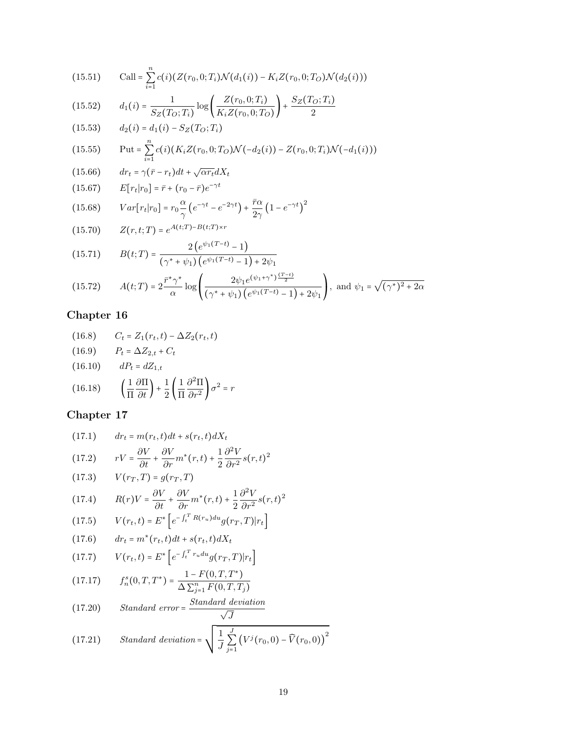(15.51) 
$$
\text{Call} = \sum_{i=1}^{n} c(i) (Z(r_0, 0; T_i) \mathcal{N}(d_1(i)) - K_i Z(r_0, 0; T_O) \mathcal{N}(d_2(i)))
$$

(15.52) 
$$
d_1(i) = \frac{1}{S_Z(T_O; T_i)} \log \left( \frac{Z(r_0, 0; T_i)}{K_i Z(r_0, 0; T_O)} \right) + \frac{S_Z(T_O; T_i)}{2}
$$

(15.53)  $d_2(i) = d_1(i) - S_Z(T_O; T_i)$ n

(15.55) Put = 
$$
\sum_{i=1}^{n} c(i) (K_i Z(r_0, 0; T_O) \mathcal{N}(-d_2(i)) - Z(r_0, 0; T_i) \mathcal{N}(-d_1(i)))
$$

(15.66)  $dr_t = \gamma(\bar{r} - r_t)dt + \sqrt{\alpha r_t}dX_t$ 

(15.67) 
$$
E[r_t|r_0] = \bar{r} + (r_0 - \bar{r})e^{-\gamma t}
$$

(15.68) 
$$
Var[r_t|r_0] = r_0 \frac{\alpha}{\gamma} \left( e^{-\gamma t} - e^{-2\gamma t} \right) + \frac{\bar{r}\alpha}{2\gamma} \left( 1 - e^{-\gamma t} \right)^2
$$

(15.70) 
$$
Z(r,t;T) = e^{A(t;T) - B(t;T) \times r}
$$

(15.71) 
$$
B(t;T) = \frac{2(e^{\psi_1(T-t)} - 1)}{(\gamma^* + \psi_1)(e^{\psi_1(T-t)} - 1) + 2\psi_1}
$$

$$
(15.72) \qquad A(t;T) = 2 \frac{\bar{r}^* \gamma^*}{\alpha} \log \left( \frac{2\psi_1 e^{(\psi_1 + \gamma^*)\frac{(T-t)}{2}}}{(\gamma^* + \psi_1)(e^{\psi_1(T-t)} - 1) + 2\psi_1} \right), \text{ and } \psi_1 = \sqrt{(\gamma^*)^2 + 2\alpha}
$$

## Chapter 16

(16.8) 
$$
C_t = Z_1(r_t, t) - \Delta Z_2(r_t, t)
$$
  
(16.9) 
$$
P_t = \Delta Z_{2,t} + C_t
$$
  
(16.10) 
$$
dP_t = dZ_{1,t}
$$
  
(16.18) 
$$
\left(\frac{1}{\Pi} \frac{\partial \Pi}{\partial t}\right) + \frac{1}{2} \left(\frac{1}{\Pi} \frac{\partial^2 \Pi}{\partial r^2}\right) \sigma^2 = r
$$

(17.1) 
$$
dr_t = m(r_t, t)dt + s(r_t, t)dX_t
$$

$$
(17.2) \qquad rV = \frac{\partial V}{\partial t} + \frac{\partial V}{\partial r}m^*(r, t) + \frac{1}{2}\frac{\partial^2 V}{\partial r^2}s(r, t)^2
$$

(17.3) 
$$
V(r_T, T) = g(r_T, T)
$$

$$
(17.4) \qquad R(r)V = \frac{\partial V}{\partial t} + \frac{\partial V}{\partial r}m^*(r, t) + \frac{1}{2}\frac{\partial^2 V}{\partial r^2}s(r, t)^2
$$

(17.5) 
$$
V(r_t, t) = E^* \left[ e^{-\int_t^T R(r_u) du} g(r_T, T) |r_t \right]
$$

$$
(17.6) \qquad dr_t = m^*(r_t, t)dt + s(r_t, t)dX_t
$$

$$
(17.7) \tV(r_t, t) = E^* \left[ e^{-\int_t^T r_u du} g(r_T, T) | r_t \right]
$$

$$
(17.17) \t fns(0,T,T*) = \frac{1 - F(0,T,T*)}{\Delta \sum_{j=1}^{n} F(0,T,Tj)}
$$

(17.20) Standard error = 
$$
\frac{Standard\ deviation}{\sqrt{J}}
$$

(17.21) Standard deviation = 
$$
\sqrt{\frac{1}{J} \sum_{j=1}^{J} (V^j(r_0, 0) - \widehat{V}(r_0, 0))^2}
$$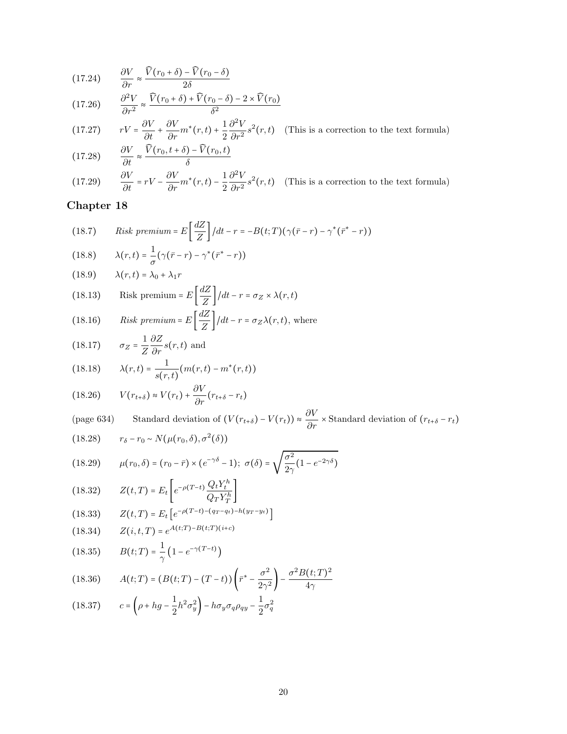(17.24) 
$$
\frac{\partial V}{\partial r} \approx \frac{\widehat{V}(r_0 + \delta) - \widehat{V}(r_0 - \delta)}{2\delta}
$$

(17.26) 
$$
\frac{\partial^2 V}{\partial r^2} \approx \frac{\widehat{V}(r_0 + \delta) + \widehat{V}(r_0 - \delta) - 2 \times \widehat{V}(r_0)}{\delta^2}
$$

(17.27) 
$$
rV = \frac{\partial V}{\partial t} + \frac{\partial V}{\partial r}m^*(r,t) + \frac{1}{2}\frac{\partial^2 V}{\partial r^2}s^2(r,t)
$$
 (This is a correction to the text formula)

(17.28) 
$$
\frac{\partial V}{\partial t} \approx \frac{\widehat{V}(r_0, t + \delta) - \widehat{V}(r_0, t)}{\delta}
$$

(17.29) 
$$
\frac{\partial V}{\partial t} = rV - \frac{\partial V}{\partial r}m^*(r,t) - \frac{1}{2}\frac{\partial^2 V}{\partial r^2}s^2(r,t)
$$
 (This is a correction to the text formula)

(18.7) *Risk premium* = 
$$
E\left[\frac{dZ}{Z}\right]/dt - r = -B(t;T)(\gamma(\bar{r} - r) - \gamma^*(\bar{r}^* - r))
$$

(18.8) 
$$
\lambda(r,t) = \frac{1}{\sigma}(\gamma(\bar{r} - r) - \gamma^*(\bar{r}^* - r))
$$

(18.9) 
$$
\lambda(r,t) = \lambda_0 + \lambda_1 r
$$

(18.13) Risk premium = 
$$
E\left[\frac{dZ}{Z}\right]/dt - r = \sigma_Z \times \lambda(r, t)
$$

(18.16) *Risk premium* = 
$$
E\left[\frac{dZ}{Z}\right]/dt - r = \sigma_Z \lambda(r, t)
$$
, where

(18.17) 
$$
\sigma_Z = \frac{1}{Z} \frac{\partial Z}{\partial r} s(r, t)
$$
 and

(18.18) 
$$
\lambda(r,t) = \frac{1}{s(r,t)} (m(r,t) - m^*(r,t))
$$

(18.26) 
$$
V(r_{t+\delta}) \approx V(r_t) + \frac{\partial V}{\partial r}(r_{t+\delta} - r_t)
$$

(page 634) Standard deviation of 
$$
(V(r_{t+\delta}) - V(r_t)) \approx \frac{\partial V}{\partial r} \times
$$
 Standard deviation of  $(r_{t+\delta} - r_t)$ 

(18.28) 
$$
r_{\delta} - r_0 \sim N(\mu(r_0, \delta), \sigma^2(\delta))
$$

(18.29) 
$$
\mu(r_0, \delta) = (r_0 - \bar{r}) \times (e^{-\gamma \delta} - 1); \ \sigma(\delta) = \sqrt{\frac{\sigma^2}{2\gamma} (1 - e^{-2\gamma \delta})}
$$

(18.32) 
$$
Z(t,T) = E_t \left[ e^{-\rho(T-t)} \frac{Q_t Y_t^h}{Q_T Y_T^h} \right]
$$

(18.33) 
$$
Z(t,T) = E_t \left[ e^{-\rho(T-t)-(q_T-q_t)-h(y_T-y_t)} \right]
$$

(18.34) 
$$
Z(i,t,T) = e^{A(t;T) - B(t;T)(i+c)}
$$

(18.35) 
$$
B(t;T) = \frac{1}{\gamma} \left( 1 - e^{-\gamma (T-t)} \right)
$$

(18.36) 
$$
A(t;T) = (B(t;T) - (T-t)) \left(\bar{r}^* - \frac{\sigma^2}{2\gamma^2}\right) - \frac{\sigma^2 B(t;T)^2}{4\gamma}
$$

(18.37) 
$$
c = \left(\rho + hg - \frac{1}{2}h^2\sigma_y^2\right) - h\sigma_y\sigma_q\rho_{q} - \frac{1}{2}\sigma_q^2
$$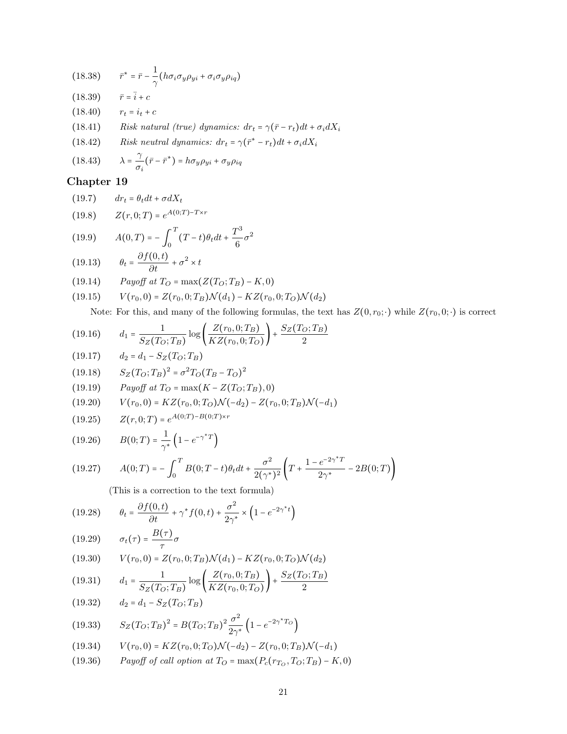(18.38) 
$$
\bar{r}^* = \bar{r} - \frac{1}{\gamma} \left( h \sigma_i \sigma_y \rho_{yi} + \sigma_i \sigma_y \rho_{iq} \right)
$$

(18.39)  $\bar{r} = \bar{i} + c$ <br>(18.40)  $r_t = i_t + c$ 

(18.40)  $r_t = i_t + c$ <br>(18.41) Risk natu (18.41) Risk natural (true) dynamics:  $dr_t = \gamma(\bar{r} - r_t)dt + \sigma_i dX_i$ <br>(18.42) Risk neutral dynamics:  $dr_t = \gamma(\bar{r}^* - r_t)dt + \sigma_i dX_i$ 

- (18.42) Risk neutral dynamics:  $dr_t = \gamma(\bar{r}^* r_t)dt + \sigma_i dX_i$
- $(18.43)$ γ  $\frac{1}{\sigma_i}(\bar{r}-\bar{r}^*) = h\sigma_y\rho_{yi} + \sigma_y\rho_{iq}$

#### Chapter 19

$$
(19.7) \t dr_t = \theta_t dt + \sigma dX_t
$$

(19.8) 
$$
Z(r,0;T) = e^{A(0;T)-T \times r}
$$

(19.9) 
$$
A(0,T) = -\int_0^T (T-t)\theta_t dt + \frac{T^3}{6}\sigma^2
$$

(19.13) 
$$
\theta_t = \frac{\partial f(0,t)}{\partial t} + \sigma^2 \times t
$$

(19.14) 
$$
Payoff at T_O = \max(Z(T_O; T_B) - K, 0)
$$

$$
(19.15) \tV(r_0,0) = Z(r_0,0;T_B)\mathcal{N}(d_1) - KZ(r_0,0;T_O)\mathcal{N}(d_2)
$$

Note: For this, and many of the following formulas, the text has  $Z(0,r_0; \cdot)$  while  $Z(r_0, 0; \cdot)$  is correct

(19.16) 
$$
d_1 = \frac{1}{S_Z(T_O; T_B)} \log \left( \frac{Z(r_0, 0; T_B)}{K Z(r_0, 0; T_O)} \right) + \frac{S_Z(T_O; T_B)}{2}
$$

(19.17) 
$$
d_2 = d_1 - S_Z(T_O; T_B)
$$

(19.18) 
$$
S_Z(T_O; T_B)^2 = \sigma^2 T_O (T_B - T_O)^2
$$

(19.19) *Payoff at* 
$$
T_O = \max(K - Z(T_O; T_B), 0)
$$

$$
(19.20) \tV(r_0,0) = KZ(r_0,0;T_O)\mathcal{N}(-d_2) - Z(r_0,0;T_B)\mathcal{N}(-d_1)
$$

(19.25) 
$$
Z(r,0;T) = e^{A(0;T)-B(0;T)\times r}
$$

(19.26) 
$$
B(0;T) = \frac{1}{\gamma^*} \left( 1 - e^{-\gamma^* T} \right)
$$

$$
(19.27) \qquad A(0;T) = -\int_0^T B(0;T-t)\theta_t dt + \frac{\sigma^2}{2(\gamma^*)^2} \left(T + \frac{1 - e^{-2\gamma^*T}}{2\gamma^*} - 2B(0;T)\right)
$$

(This is a correction to the text formula)

$$
(19.28) \qquad \theta_t = \frac{\partial f(0,t)}{\partial t} + \gamma^* f(0,t) + \frac{\sigma^2}{2\gamma^*} \times \left(1 - e^{-2\gamma^*t}\right)
$$

$$
(19.29) \qquad \sigma_t(\tau) = \frac{B(\tau)}{\tau} \sigma
$$

$$
(19.30) \tV(r_0,0) = Z(r_0,0;T_B)\mathcal{N}(d_1) - KZ(r_0,0;T_O)\mathcal{N}(d_2)
$$

(19.31) 
$$
d_1 = \frac{1}{S_Z(T_O; T_B)} \log \left( \frac{Z(r_0, 0; T_B)}{K Z(r_0, 0; T_O)} \right) + \frac{S_Z(T_O; T_B)}{2}
$$

(19.32) 
$$
d_2 = d_1 - S_Z(T_O; T_B)
$$

(19.33) 
$$
S_Z(T_O; T_B)^2 = B(T_O; T_B)^2 \frac{\sigma^2}{2\gamma^*} \left(1 - e^{-2\gamma^* T_O}\right)
$$

(19.34) 
$$
V(r_0,0) = KZ(r_0,0;T_O)\mathcal{N}(-d_2) - Z(r_0,0;T_B)\mathcal{N}(-d_1)
$$

(19.36) *Payoff of call option at* 
$$
T_O = \max(P_c(r_{T_O}, T_O; T_B) - K, 0)
$$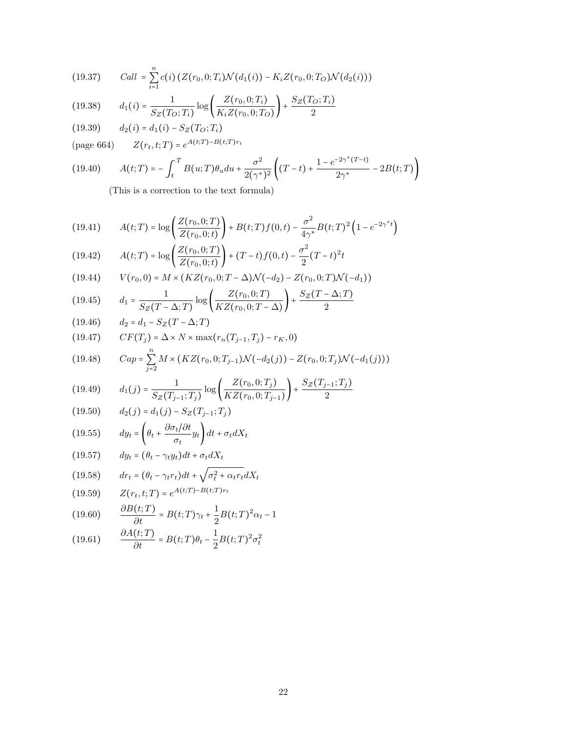(19.37) 
$$
Call = \sum_{i=1}^{n} c(i) \left( Z(r_0, 0; T_i) \mathcal{N}(d_1(i)) - K_i Z(r_0, 0; T_O) \mathcal{N}(d_2(i)) \right)
$$

$$
(19.38) \t d_1(i) = \frac{1}{S_Z(T_O; T_i)} \log \left( \frac{Z(r_0, 0; T_i)}{K_i Z(r_0, 0; T_O)} \right) + \frac{S_Z(T_O; T_i)}{2}
$$

(19.39)  $d_2(i) = d_1(i) - S_Z(T_O; T_i)$ 

(page 664)  $Z(r_t, t; T) = e^{A(t;T) - B(t;T)r_t}$ 

(19.40) 
$$
A(t;T) = -\int_{t}^{T} B(u;T)\theta_{u}du + \frac{\sigma^{2}}{2(\gamma^{*})^{2}} \left( (T-t) + \frac{1 - e^{-2\gamma^{*}(T-t)}}{2\gamma^{*}} - 2B(t;T) \right)
$$

(This is a correction to the text formula)

(19.41) 
$$
A(t;T) = \log \left( \frac{Z(r_0, 0;T)}{Z(r_0, 0; t)} \right) + B(t;T) f(0,t) - \frac{\sigma^2}{4\gamma^*} B(t;T)^2 \left( 1 - e^{-2\gamma^*t} \right)
$$

(19.42) 
$$
A(t;T) = \log \left( \frac{Z(r_0, 0;T)}{Z(r_0, 0; t)} \right) + (T-t)f(0, t) - \frac{\sigma^2}{2}(T-t)^2t
$$

(19.44) 
$$
V(r_0,0) = M \times (KZ(r_0,0;T-\Delta)\mathcal{N}(-d_2) - Z(r_0,0;T)\mathcal{N}(-d_1))
$$

(19.45) 
$$
d_1 = \frac{1}{S_Z(T - \Delta; T)} \log \left( \frac{Z(r_0, 0; T)}{KZ(r_0, 0; T - \Delta)} \right) + \frac{S_Z(T - \Delta; T)}{2}
$$

(19.46) 
$$
d_2 = d_1 - S_Z(T - \Delta; T)
$$

$$
(19.47) \qquad CF(T_j) = \Delta \times N \times \max(r_n(T_{j-1}, T_j) - r_K, 0)
$$

(19.48) 
$$
Cap = \sum_{j=2} M \times (KZ(r_0, 0; T_{j-1}) \mathcal{N}(-d_2(j)) - Z(r_0, 0; T_j) \mathcal{N}(-d_1(j)))
$$

$$
(19.49) \t d_1(j) = \frac{1}{S_Z(T_{j-1};T_j)} \log \left( \frac{Z(r_0,0;T_j)}{KZ(r_0,0;T_{j-1})} \right) + \frac{S_Z(T_{j-1};T_j)}{2}
$$

(19.50) 
$$
d_2(j) = d_1(j) - S_Z(T_{j-1}; T_j)
$$

(19.55) 
$$
dy_t = \left(\theta_t + \frac{\partial \sigma_t / \partial t}{\sigma_t} y_t\right) dt + \sigma_t dX_t
$$

$$
(19.57) \t dy_t = (\theta_t - \gamma_t y_t)dt + \sigma_t dX_t
$$

(19.58) 
$$
dr_t = (\theta_t - \gamma_t r_t)dt + \sqrt{\sigma_t^2 + \alpha_t r_t}dX_t
$$

(19.59) 
$$
Z(r_t, t;T) = e^{A(t;T) - B(t;T)r_t}
$$

(19.60) 
$$
\frac{\partial B(t;T)}{\partial t} = B(t;T)\gamma_t + \frac{1}{2}B(t;T)^2\alpha_t - 1
$$

(19.61) 
$$
\frac{\partial A(t;T)}{\partial t} = B(t;T)\theta_t - \frac{1}{2}B(t;T)^2\sigma_t^2
$$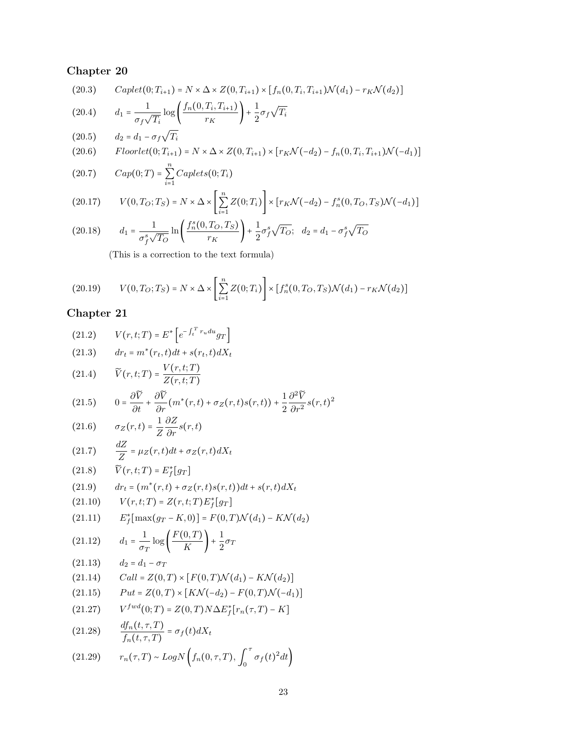(20.3) 
$$
Caplet(0; T_{i+1}) = N \times \Delta \times Z(0, T_{i+1}) \times [f_n(0, T_i, T_{i+1}) \mathcal{N}(d_1) - r_K \mathcal{N}(d_2)]
$$
  
(20.4) 
$$
d_1 = \frac{1}{\sigma_f \sqrt{T_i}} log \left( \frac{f_n(0, T_i, T_{i+1})}{r_K} \right) + \frac{1}{2} \sigma_f \sqrt{T_i}
$$
  
(20.5) 
$$
d_2 = d_1 - \sigma_f \sqrt{T_i}
$$
  
(20.6) 
$$
Floorlet(0; T_{i+1}) = N \times \Delta \times Z(0, T_{i+1}) \times [r_K \mathcal{N}(-d_2) - f_n(0, T_i, T_{i+1}) \mathcal{N}(-d_1)]
$$
  
(20.7) 
$$
Cap(0; T) = \sum_{i=1}^n Caplets(0; T_i)
$$

$$
(20.17) \qquad V(0,T_O;T_S) = N \times \Delta \times \left[ \sum_{i=1}^n Z(0;T_i) \right] \times \left[ r_K \mathcal{N}(-d_2) - f_n^s(0,T_O,T_S) \mathcal{N}(-d_1) \right]
$$

(20.18) 
$$
d_1 = \frac{1}{\sigma_f^s \sqrt{T_O}} \ln \left( \frac{f_n^s(0, T_O, T_S)}{r_K} \right) + \frac{1}{2} \sigma_f^s \sqrt{T_O}; \quad d_2 = d_1 - \sigma_f^s \sqrt{T_O}
$$

(This is a correction to the text formula)

(20.19) 
$$
V(0, T_O; T_S) = N \times \Delta \times \left[ \sum_{i=1}^{n} Z(0; T_i) \right] \times \left[ f_n^s(0, T_O, T_S) \mathcal{N}(d_1) - r_K \mathcal{N}(d_2) \right]
$$

$$
(21.2) \qquad V(r,t;T) = E^* \left[ e^{-\int_t^T r_u du} g_T \right]
$$

$$
(21.3) \t dr_t = m^*(r_t, t)dt + s(r_t, t)dX_t
$$

(21.4) 
$$
\widetilde{V}(r,t;T) = \frac{V(r,t;T)}{Z(r,t;T)}
$$

(21.5) 
$$
0 = \frac{\partial \widetilde{V}}{\partial t} + \frac{\partial \widetilde{V}}{\partial r}(m^*(r,t) + \sigma_Z(r,t)s(r,t)) + \frac{1}{2}\frac{\partial^2 \widetilde{V}}{\partial r^2}s(r,t)^2
$$

(21.6) 
$$
\sigma_Z(r,t) = \frac{1}{Z} \frac{\partial Z}{\partial r} s(r,t)
$$

$$
\frac{dZ}{dt}
$$

(21.7) 
$$
\frac{dZ}{Z} = \mu_Z(r, t)dt + \sigma_Z(r, t)dX_t
$$

$$
(21.8) \qquad \widetilde{V}(r,t;T) = E_f^*[g_T]
$$

(21.9) 
$$
dr_t = (m^*(r,t) + \sigma_Z(r,t)s(r,t))dt + s(r,t)dX_t
$$

(21.10) 
$$
V(r, t; T) = Z(r, t; T) E_f^*[g_T]
$$

(21.11) 
$$
E_f^*[\max(g_T - K, 0)] = F(0, T)\mathcal{N}(d_1) - K\mathcal{N}(d_2)
$$

$$
(21.12) \t d_1 = \frac{1}{\sigma_T} \log \left( \frac{F(0,T)}{K} \right) + \frac{1}{2} \sigma_T
$$

$$
(21.13) \qquad d_2 = d_1 - \sigma_T
$$

(21.14) 
$$
Call = Z(0,T) \times [F(0,T) \mathcal{N}(d_1) - K \mathcal{N}(d_2)]
$$

(21.15) 
$$
Put = Z(0,T) \times [KN(-d_2) - F(0,T) \mathcal{N}(-d_1)]
$$

(21.27) 
$$
V^{fwd}(0;T) = Z(0,T)N\Delta E_f^*[r_n(\tau,T) - K]
$$

(21.28) 
$$
\frac{df_n(t,\tau,T)}{f_n(t,\tau,T)} = \sigma_f(t)dX_t
$$

(21.29) 
$$
r_n(\tau,T) \sim Log N\left(f_n(0,\tau,T), \int_0^{\tau} \sigma_f(t)^2 dt\right)
$$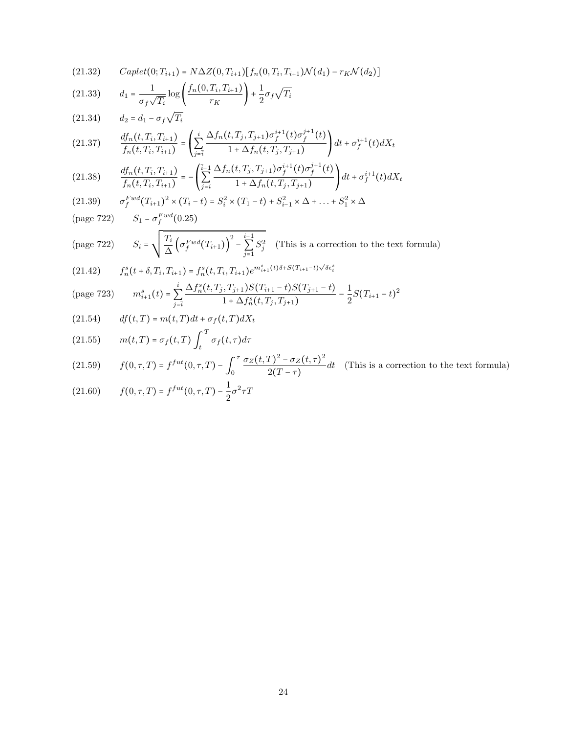$$
(21.32) \qquad Caplet(0; T_{i+1}) = N\Delta Z(0, T_{i+1})[f_n(0, T_i, T_{i+1})\mathcal{N}(d_1) - r_K\mathcal{N}(d_2)]
$$

(21.33) 
$$
d_1 = \frac{1}{\sigma_f \sqrt{T_i}} \log \left( \frac{f_n(0, T_i, T_{i+1})}{r_K} \right) + \frac{1}{2} \sigma_f \sqrt{T_i}
$$

$$
(21.34) \qquad d_2 = d_1 - \sigma_f \sqrt{T_i}
$$

$$
(21.37) \qquad \frac{df_n(t, T_i, T_{i+1})}{f_n(t, T_i, T_{i+1})} = \left(\sum_{j=\overline{i}}^i \frac{\Delta f_n(t, T_j, T_{j+1})\sigma_f^{i+1}(t)\sigma_f^{j+1}(t)}{1 + \Delta f_n(t, T_j, T_{j+1})}\right)dt + \sigma_f^{i+1}(t)dX_t
$$

$$
(21.38) \qquad \frac{df_n(t, T_i, T_{i+1})}{f_n(t, T_i, T_{i+1})} = -\left(\sum_{j=i}^{\overline{i}-1} \frac{\Delta f_n(t, T_j, T_{j+1})\sigma_f^{i+1}(t)\sigma_f^{j+1}(t)}{1 + \Delta f_n(t, T_j, T_{j+1})}\right)dt + \sigma_f^{i+1}(t)dX_t
$$

(21.39) 
$$
\sigma_f^{Fwd}(T_{i+1})^2 \times (T_i - t) = S_i^2 \times (T_1 - t) + S_{i-1}^2 \times \Delta + \dots + S_1^2 \times \Delta
$$
  
(page 722) 
$$
S_1 = \sigma_f^{Fwd}(0.25)
$$

(page 722) 
$$
S_i = \sqrt{\frac{T_i}{\Delta} \left( \sigma_f^{Fwd}(T_{i+1}) \right)^2 - \sum_{j=1}^{i-1} S_j^2}
$$
 (This is a correction to the text formula)

$$
(21.42) \t f_n^s(t+\delta, T_i, T_{i+1}) = f_n^s(t, T_i, T_{i+1})e^{m_{i+1}^s(t)\delta + S(T_{i+1}-t)\sqrt{\delta}\epsilon_i^s}
$$

(page 723) 
$$
m_{i+1}^s(t) = \sum_{j=\overline{i}}^i \frac{\Delta f_n^s(t, T_j, T_{j+1}) S(T_{i+1} - t) S(T_{j+1} - t)}{1 + \Delta f_n^s(t, T_j, T_{j+1})} - \frac{1}{2} S(T_{i+1} - t)^2
$$

$$
(21.54) \t df(t,T) = m(t,T)dt + \sigma_f(t,T)dX_t
$$

(21.55) 
$$
m(t,T) = \sigma_f(t,T) \int_t^T \sigma_f(t,\tau) d\tau
$$

(21.59) 
$$
f(0,\tau,T) = f^{fut}(0,\tau,T) - \int_0^{\tau} \frac{\sigma_Z(t,T)^2 - \sigma_Z(t,\tau)^2}{2(T-\tau)} dt
$$
 (This is a correction to the text formula)

(21.60) 
$$
f(0,\tau,T) = f^{fut}(0,\tau,T) - \frac{1}{2}\sigma^2 \tau T
$$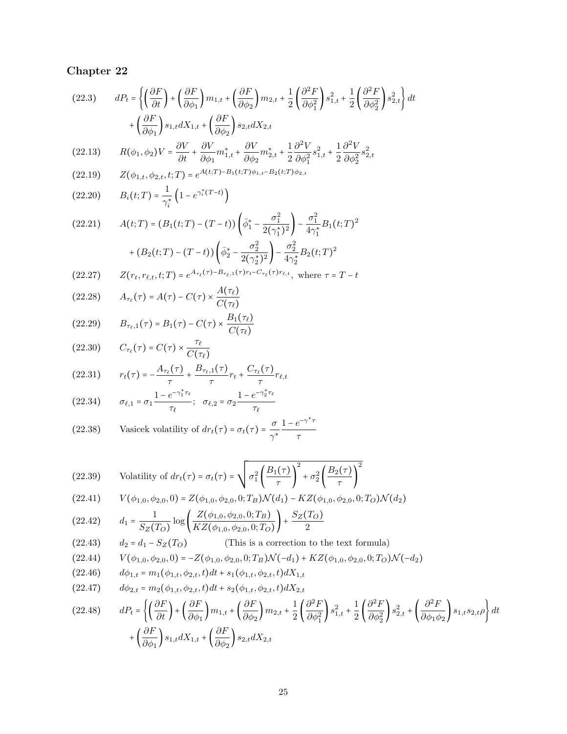(22.3) 
$$
dP_t = \left\{ \left( \frac{\partial F}{\partial t} \right) + \left( \frac{\partial F}{\partial \phi_1} \right) m_{1,t} + \left( \frac{\partial F}{\partial \phi_2} \right) m_{2,t} + \frac{1}{2} \left( \frac{\partial^2 F}{\partial \phi_1^2} \right) s_{1,t}^2 + \frac{1}{2} \left( \frac{\partial^2 F}{\partial \phi_2^2} \right) s_{2,t}^2 \right\} dt + \left( \frac{\partial F}{\partial \phi_1} \right) s_{1,t} dX_{1,t} + \left( \frac{\partial F}{\partial \phi_2} \right) s_{2,t} dX_{2,t}
$$
\n(23.13) 
$$
P(t_1(t_1)Y_t = \frac{\partial V}{\partial V} \frac{\partial V}{\partial V} * \frac{\partial V}{\partial V} * \frac{1}{2} \frac{\partial^2 V}{\partial V} \frac{1}{2} \frac{\partial^2 V}{\partial V} \frac{1}{2}
$$

$$
(22.13) \qquad R(\phi_1, \phi_2)V = \frac{\partial V}{\partial t} + \frac{\partial V}{\partial \phi_1} m_{1,t}^* + \frac{\partial V}{\partial \phi_2} m_{2,t}^* + \frac{1}{2} \frac{\partial V}{\partial \phi_1^2} s_{1,t}^2 + \frac{1}{2} \frac{\partial V}{\partial \phi_2^2} s_{2,t}^2
$$

(22.19) 
$$
Z(\phi_{1,t}, \phi_{2,t}, t;T) = e^{A(t;T) - B_1(t;T)\phi_{1,t} - B_2(t;T)\phi_{2,t}}
$$

(22.20) 
$$
B_i(t;T) = \frac{1}{\gamma_i^*} \left( 1 - e^{\gamma_i^*(T-t)} \right)
$$

$$
(22.21) \qquad A(t;T) = (B_1(t;T) - (T-t)) \left( \bar{\phi}_1^* - \frac{\sigma_1^2}{2(\gamma_1^*)^2} \right) - \frac{\sigma_1^2}{4\gamma_1^*} B_1(t;T)^2
$$

$$
+ (B_2(t;T) - (T-t)) \left( \bar{\phi}_2^* - \frac{\sigma_2^2}{2(\gamma_2^*)^2} \right) - \frac{\sigma_2^2}{4\gamma_2^*} B_2(t;T)^2
$$

(22.27) 
$$
Z(r_t, r_{\ell,t}, t; T) = e^{A_{\tau_{\ell}}(\tau) - B_{\tau_{\ell},1}(\tau) r_t - C_{\tau_{\ell}}(\tau) r_{\ell,t}}, \text{ where } \tau = T - t
$$

(22.28) 
$$
A_{\tau_{\ell}}(\tau) = A(\tau) - C(\tau) \times \frac{A(\tau_{\ell})}{C(\tau_{\ell})}
$$

(22.29) 
$$
B_{\tau_{\ell},1}(\tau) = B_1(\tau) - C(\tau) \times \frac{B_1(\tau_{\ell})}{C(\tau_{\ell})}
$$

(22.30) 
$$
C_{\tau_{\ell}}(\tau) = C(\tau) \times \frac{\tau_{\ell}}{C(\tau_{\ell})}
$$

$$
(22.31) \t r_t(\tau) = -\frac{A_{\tau_\ell}(\tau)}{\tau} + \frac{B_{\tau_\ell,1}(\tau)}{\tau}r_t + \frac{C_{\tau_\ell}(\tau)}{\tau}r_{\ell,t}
$$

(22.34) 
$$
\sigma_{\ell,1} = \sigma_1 \frac{1 - e^{-\gamma_1^* \tau_{\ell}}}{\tau_{\ell}}; \quad \sigma_{\ell,2} = \sigma_2 \frac{1 - e^{-\gamma_2^* \tau_{\ell}}}{\tau_{\ell}}
$$

(22.38) Vasicek volatility of 
$$
dr_t(\tau) = \sigma_t(\tau) = \frac{\sigma}{\gamma^*} \frac{1 - e^{-\gamma^* \tau}}{\tau}
$$

(22.39) Volatility of 
$$
dr_t(\tau) = \sigma_t(\tau) = \sqrt{\sigma_1^2 \left(\frac{B_1(\tau)}{\tau}\right)^2 + \sigma_2^2 \left(\frac{B_2(\tau)}{\tau}\right)^2}
$$

$$
(22.41) \tV(\phi_{1,0}, \phi_{2,0}, 0) = Z(\phi_{1,0}, \phi_{2,0}, 0; T_B) \mathcal{N}(d_1) - KZ(\phi_{1,0}, \phi_{2,0}, 0; T_O) \mathcal{N}(d_2)
$$

(22.42) 
$$
d_1 = \frac{1}{S_Z(T_O)} \log \left( \frac{Z(\phi_{1,0}, \phi_{2,0}, 0; T_B)}{KZ(\phi_{1,0}, \phi_{2,0}, 0; T_O)} \right) + \frac{S_Z(T_O)}{2}
$$

(22.43) 
$$
d_2 = d_1 - S_Z(T_O)
$$
 (This is a correction to the text formula)

$$
(22.44) \tV(\phi_{1,0}, \phi_{2,0}, 0) = -Z(\phi_{1,0}, \phi_{2,0}, 0; T_B) \mathcal{N}(-d_1) + KZ(\phi_{1,0}, \phi_{2,0}, 0; T_O) \mathcal{N}(-d_2)
$$

$$
(22.46) \t d\phi_{1,t} = m_1(\phi_{1,t}, \phi_{2,t}, t)dt + s_1(\phi_{1,t}, \phi_{2,t}, t)dX_{1,t}
$$

$$
(22.47) \t d\phi_{2,t} = m_2(\phi_{1,t}, \phi_{2,t}, t)dt + s_2(\phi_{1,t}, \phi_{2,t}, t)dX_{2,t}
$$

$$
(22.48) \t dP_t = \left\{ \left( \frac{\partial F}{\partial t} \right) + \left( \frac{\partial F}{\partial \phi_1} \right) m_{1,t} + \left( \frac{\partial F}{\partial \phi_2} \right) m_{2,t} + \frac{1}{2} \left( \frac{\partial^2 F}{\partial \phi_1^2} \right) s_{1,t}^2 + \frac{1}{2} \left( \frac{\partial^2 F}{\partial \phi_2^2} \right) s_{2,t}^2 + \left( \frac{\partial^2 F}{\partial \phi_1 \phi_2} \right) s_{1,t} s_{2,t} \rho \right\} dt
$$
  
+ 
$$
\left( \frac{\partial F}{\partial \phi_1} \right) s_{1,t} dX_{1,t} + \left( \frac{\partial F}{\partial \phi_2} \right) s_{2,t} dX_{2,t}
$$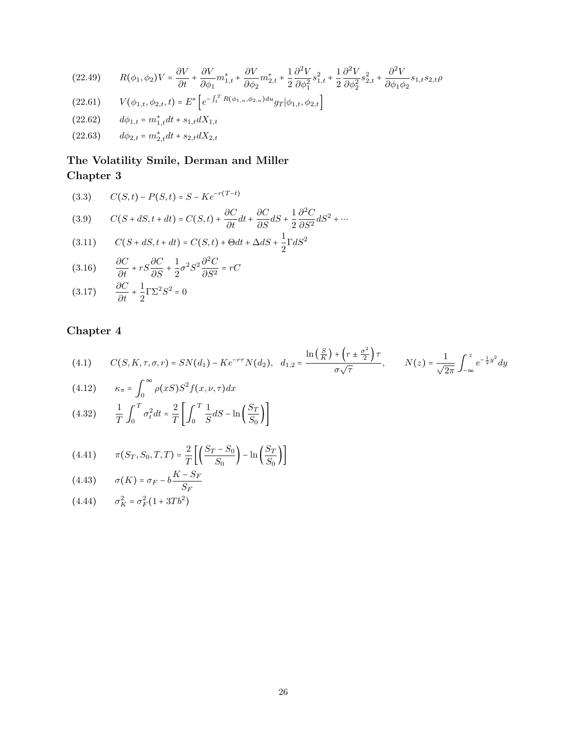$$
(22.49) \qquad R(\phi_1, \phi_2)V = \frac{\partial V}{\partial t} + \frac{\partial V}{\partial \phi_1}m_{1,t}^* + \frac{\partial V}{\partial \phi_2}m_{2,t}^* + \frac{1}{2}\frac{\partial^2 V}{\partial \phi_1^2}s_{1,t}^2 + \frac{1}{2}\frac{\partial^2 V}{\partial \phi_2^2}s_{2,t}^2 + \frac{\partial^2 V}{\partial \phi_1 \phi_2}s_{1,t}s_{2,t}\rho
$$

- (22.61)  $V(\phi_{1,t}, \phi_{2,t}, t) = E^* \left[ e^{-\int_t^T R(\phi_{1,u}, \phi_{2,u}) du} g_T |\phi_{1,t}, \phi_{2,t} \right]$
- $(22.62)$   $d\phi_{1,t} = m_{1,t}^* dt + s_{1,t} dX_{1,t}$
- (22.63)  $d\phi_{2,t} = m_{2,t}^* dt + s_{2,t} dX_{2,t}$

## The Volatility Smile, Derman and Miller Chapter 3

(3.3)  $C(S,t) - P(S,t) = S - Ke^{-r(T-t)}$ 

(3.9) 
$$
C(S + dS, t + dt) = C(S, t) + \frac{\partial C}{\partial t}dt + \frac{\partial C}{\partial S}dS + \frac{1}{2}\frac{\partial^2 C}{\partial S^2}dS^2 + \cdots
$$

(3.11) 
$$
C(S + dS, t + dt) = C(S, t) + \Theta dt + \Delta dS + \frac{1}{2} \Gamma dS^{2}
$$

(3.16) 
$$
\frac{\partial C}{\partial t} + rS \frac{\partial C}{\partial S} + \frac{1}{2} \sigma^2 S^2 \frac{\partial^2 C}{\partial S^2} = rC
$$

$$
(3.17) \qquad \frac{\partial \mathcal{C}}{\partial t} + \frac{1}{2} \Gamma \Sigma^2 S^2 = 0
$$

$$
(4.1) \qquad C(S, K, \tau, \sigma, r) = SN(d_1) - Ke^{-r\tau}N(d_2), \quad d_{1,2} = \frac{\ln\left(\frac{S}{K}\right) + \left(r \pm \frac{\sigma^2}{2}\right)\tau}{\sigma\sqrt{\tau}}, \qquad N(z) = \frac{1}{\sqrt{2\pi}} \int_{-\infty}^{z} e^{-\frac{1}{2}y^2} dy
$$

(4.12) 
$$
\kappa_{\pi} = \int_0^{\infty} \rho(xS)S^2 f(x,\nu,\tau)dx
$$

(4.32) 
$$
\frac{1}{T} \int_0^T \sigma_t^2 dt = \frac{2}{T} \left[ \int_0^T \frac{1}{S} dS - \ln \left( \frac{S_T}{S_0} \right) \right]
$$

(4.41) 
$$
\pi(S_T, S_0, T, T) = \frac{2}{T} \left[ \left( \frac{S_T - S_0}{S_0} \right) - \ln \left( \frac{S_T}{S_0} \right) \right]
$$

$$
(4.43) \qquad \sigma(K) = \sigma_F - b \frac{K - S_F}{S_F}
$$

$$
(4.44) \qquad \sigma_K^2 = \sigma_F^2 (1 + 3Tb^2)
$$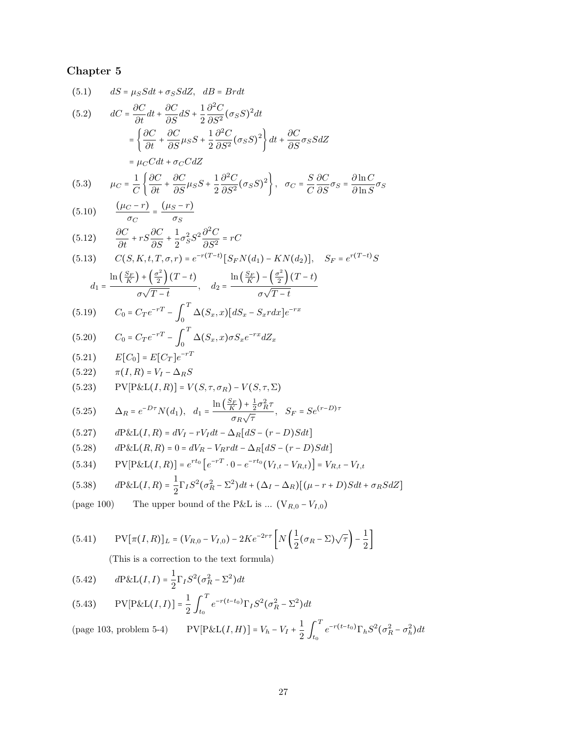(5.1) 
$$
dS = \mu_S S dt + \sigma_S S dZ, \quad dB = Br dt
$$
\n
$$
dC = \frac{\partial C}{\partial t} dt + \frac{\partial C}{\partial S} dS + \frac{1}{2} \frac{\partial^2 C}{\partial S^2} (\sigma_S S)^2 dt
$$
\n
$$
= \left\{ \frac{\partial C}{\partial t} + \frac{\partial C}{\partial S} \mu_S S + \frac{1}{2} \frac{\partial^2 C}{\partial S^2} (\sigma_S S)^2 \right\} dt + \frac{\partial C}{\partial S} \sigma_S S dZ
$$
\n
$$
= \mu_C C dt + \sigma_C C dZ
$$
\n(5.3) 
$$
\mu_C = \frac{1}{C} \left\{ \frac{\partial C}{\partial t} + \frac{\partial C}{\partial S} \mu_S S + \frac{1}{2} \frac{\partial^2 C}{\partial S^2} (\sigma_S S)^2 \right\}, \quad \sigma_C = \frac{S}{C} \frac{\partial C}{\partial S} \sigma_S = \frac{\partial \ln C}{\partial \ln S} \sigma_S
$$
\n(5.10) 
$$
\frac{(\mu_C - r)}{\sigma_C} = \frac{(\mu_S - r)}{\sigma_S}
$$
\n(5.12) 
$$
\frac{\partial C}{\partial t} + rS \frac{\partial C}{\partial S} + \frac{1}{2} \sigma_S^2 S^2 \frac{\partial^2 C}{\partial S^2} = rC
$$
\n(5.13) 
$$
C(S, K, t, T, \sigma, r) = e^{-r(T-t)} [S_F N(d_1) - K N(d_2)], \quad S_F = e^{r(T-t)} S
$$
\n
$$
d_1 = \frac{\ln \left(\frac{S}{K} \right) + \left(\frac{\sigma^2}{2} \right)(T-t)}{\sigma \sqrt{T-t}}, \quad d_2 = \frac{\ln \left(\frac{S}{K} \right) - \left(\frac{\sigma^2}{2} \right)(T-t)}{\sigma \sqrt{T-t}}
$$
\n(5.19) 
$$
C_0 = C_T e^{-rT} - \int_0^T \Delta(S_x, x) [dS_x - S_x r dx] e^{-rx}
$$
\n(5.20) 
$$
C_0 = C_T e^{-rT} - \int_0^T \Delta(S_x, x) \sigma S_x e^{-rx} dZ_x
$$
\n(5.21) 
$$
E[C_0] = E[C_T] e^{-rT}
$$
\n(5.2

(5.42) 
$$
dP \& L(I, I) = \frac{1}{2} \Gamma_I S^2 (\sigma_R^2 - \Sigma^2) dt
$$
  
(5.43) 
$$
PV[P \& L(I, I)] = \frac{1}{2} \int_{t_0}^{T} e^{-r(t - t_0)} \Gamma_I S^2 (\sigma_R^2 - \Sigma^2) dt
$$

(page 103, problem 5-4) 
$$
PV[P\&L(I,H)] = V_h - V_I + \frac{1}{2} \int_{t_0}^{T} e^{-r(t-t_0)} \Gamma_h S^2(\sigma_R^2 - \sigma_h^2) dt
$$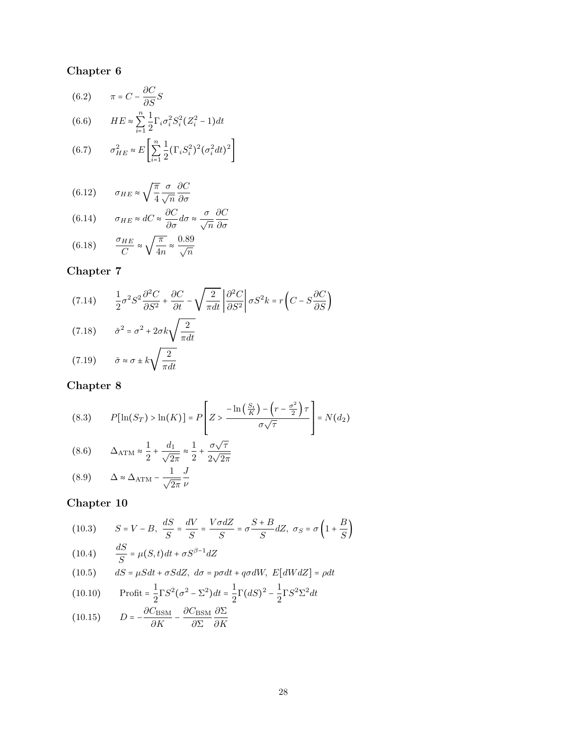(6.2) 
$$
\pi = C - \frac{\partial C}{\partial S} S
$$
  
(6.6) 
$$
HE \approx \sum_{i=1}^{n} \frac{1}{2} \Gamma_i \sigma_i^2 S_i^2 (Z_i^2 - 1) dt
$$

(6.7) 
$$
\sigma_{HE}^2 \approx E \left[ \sum_{i=1}^n \frac{1}{2} (\Gamma_i S_i^2)^2 (\sigma_i^2 dt)^2 \right]
$$

(6.12) 
$$
\sigma_{HE} \approx \sqrt{\frac{\pi}{4}} \frac{\sigma}{\sqrt{n}} \frac{\partial C}{\partial \sigma}
$$

(6.14) 
$$
\sigma_{HE} \approx dC \approx \frac{\partial C}{\partial \sigma} d\sigma \approx \frac{\sigma}{\sqrt{n}} \frac{\partial C}{\partial \sigma}
$$

(6.18) 
$$
\frac{\sigma_{HE}}{C} \approx \sqrt{\frac{\pi}{4n}} \approx \frac{0.89}{\sqrt{n}}
$$

## Chapter 7

(7.14) 
$$
\frac{1}{2}\sigma^2 S^2 \frac{\partial^2 C}{\partial S^2} + \frac{\partial C}{\partial t} - \sqrt{\frac{2}{\pi dt}} \left| \frac{\partial^2 C}{\partial S^2} \right| \sigma S^2 k = r \left( C - S \frac{\partial C}{\partial S} \right)
$$
  
(7.18) 
$$
\check{\sigma}^2 = \sigma^2 + 2\sigma k \sqrt{\frac{2}{\pi dt}}
$$
  
(7.19) 
$$
\check{\sigma} \approx \sigma \pm k \sqrt{\frac{2}{\pi dt}}
$$

## Chapter 8

(8.3) 
$$
P[\ln(S_T) > \ln(K)] = P\left[Z > \frac{-\ln\left(\frac{S_t}{K}\right) - \left(r - \frac{\sigma^2}{2}\right)\tau}{\sigma\sqrt{\tau}}\right] = N(d_2)
$$

(8.6) 
$$
\Delta_{\text{ATM}} \approx \frac{1}{2} + \frac{d_1}{\sqrt{2\pi}} \approx \frac{1}{2} + \frac{\sigma\sqrt{\tau}}{2\sqrt{2\pi}}
$$

$$
(8.9) \qquad \Delta \approx \Delta_{\text{ATM}} - \frac{1}{\sqrt{2\pi}} \frac{J}{\nu}
$$

(10.3) 
$$
S = V - B, \frac{dS}{S} = \frac{dV}{S} = \frac{V\sigma dZ}{S} = \sigma \frac{S + B}{S} dZ, \sigma_S = \sigma \left(1 + \frac{B}{S}\right)
$$

(10.4) 
$$
\frac{dS}{S} = \mu(S, t)dt + \sigma S^{\beta - 1} dZ
$$

(10.5) 
$$
dS = \mu S dt + \sigma S dZ, \ d\sigma = p\sigma dt + q\sigma dW, \ E[dW dZ] = \rho dt
$$

(10.10) 
$$
\text{Profit} = \frac{1}{2} \Gamma S^2 (\sigma^2 - \Sigma^2) dt = \frac{1}{2} \Gamma (dS)^2 - \frac{1}{2} \Gamma S^2 \Sigma^2 dt
$$
\n(10.15) 
$$
D = \frac{\partial C_{\text{BSM}}}{\partial C_{\text{BSM}}} \frac{\partial C_{\text{BSM}}}{\partial C} \frac{\partial C_{\text{BSM}}}{\partial C}
$$

$$
(10.15) \tD = -\frac{\sigma_{\text{BSM}}}{\partial K} - \frac{\sigma_{\text{BSM}}}{\partial \Sigma} \frac{\sigma}{\partial K}
$$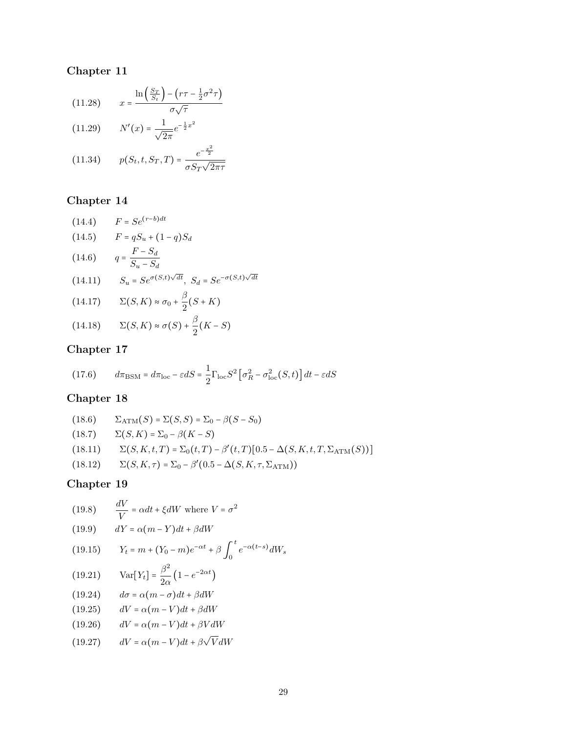(11.28) 
$$
x = \frac{\ln\left(\frac{S_T}{S_t}\right) - \left(r\tau - \frac{1}{2}\sigma^2\tau\right)}{\sigma\sqrt{\tau}}
$$
  
(11.29) 
$$
N'(x) = \frac{1}{\sqrt{2\pi}}e^{-\frac{1}{2}x^2}
$$

(11.25) 
$$
W(x) = \sqrt{2\pi}^{c}
$$
  
(11.34)  $p(S_t, t, S_T, T) = \frac{e^{-\frac{x^2}{2}}}{\sigma S_T \sqrt{2\pi} \tau}$ 

## Chapter 14

(14.4) 
$$
F = Se^{(r-b)dt}
$$
  
\n(14.5) 
$$
F = qS_u + (1-q)S_d
$$
  
\n(14.6) 
$$
q = \frac{F - S_d}{S_u - S_d}
$$
  
\n(14.11) 
$$
S_u = Se^{\sigma(S,t)\sqrt{dt}}, S_d = Se^{-\sigma(S,t)\sqrt{dt}}
$$
  
\n(14.17) 
$$
\Sigma(S, K) \approx \sigma_0 + \frac{\beta}{2}(S + K)
$$

$$
(14.18) \qquad \Sigma(S,K) \approx \sigma(S) + \frac{\beta}{2}(K - S)
$$

## Chapter 17

(17.6) 
$$
d\pi_{\text{BSM}} = d\pi_{\text{loc}} - \varepsilon dS = \frac{1}{2} \Gamma_{\text{loc}} S^2 \left[ \sigma_R^2 - \sigma_{\text{loc}}^2(S, t) \right] dt - \varepsilon dS
$$

## Chapter 18

(18.6) 
$$
\Sigma_{ATM}(S) = \Sigma(S, S) = \Sigma_0 - \beta(S - S_0)
$$
  
(18.7) 
$$
\Sigma(S, K) = \Sigma_0 - \beta(K - S)
$$
  
(18.11) 
$$
\Sigma(S, K, t, T) = \Sigma_0(t, T) - \beta'(t, T)[0.5 - \Delta(S, K, t, T, \Sigma_{ATM}(S))]
$$
  
(18.12) 
$$
\Sigma(S, K, \tau) = \Sigma_0 - \beta'(0.5 - \Delta(S, K, \tau, \Sigma_{ATM}))
$$

(19.8) 
$$
\frac{dV}{V} = \alpha dt + \xi dW
$$
 where  $V = \sigma^2$ 

(19.9) 
$$
dY = \alpha (m - Y) dt + \beta dW
$$

(19.15) 
$$
Y_t = m + (Y_0 - m)e^{-\alpha t} + \beta \int_0^t e^{-\alpha(t-s)} dW_s
$$

$$
(19.21) \tVar[Y_t] = \frac{\beta^2}{2\alpha} \left( 1 - e^{-2\alpha t} \right)
$$

$$
(19.24) \qquad d\sigma = \alpha (m - \sigma) dt + \beta dW
$$

$$
(19.25) \qquad dV = \alpha (m - V) dt + \beta dW
$$

$$
(19.26) \qquad dV = \alpha (m - V) dt + \beta V dW
$$

(19.27) 
$$
dV = \alpha (m - V) dt + \beta \sqrt{V} dW
$$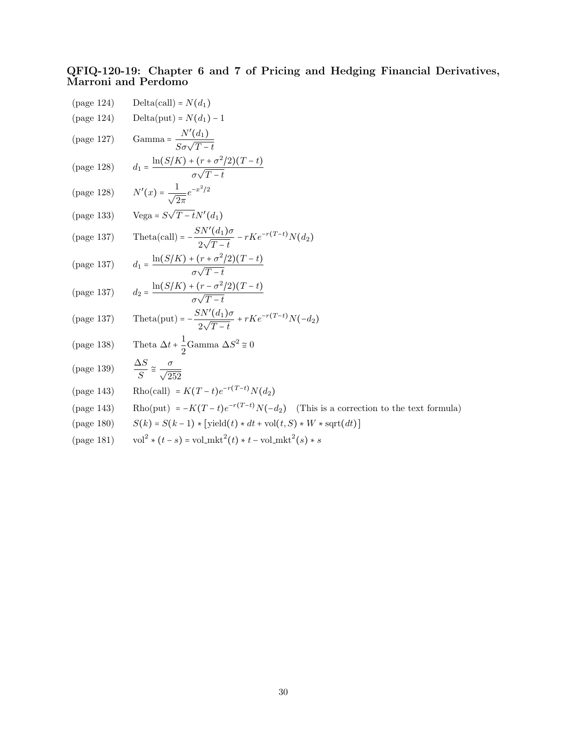#### QFIQ-120-19: Chapter 6 and 7 of Pricing and Hedging Financial Derivatives, Marroni and Perdomo

| (page 124)                      | $Delta(call) = N(d_1)$                                                            |
|---------------------------------|-----------------------------------------------------------------------------------|
| (page 124)                      | $Delta(put) = N(d_1) - 1$                                                         |
| (page 127)                      | Gamma = $\frac{N'(d_1)}{S\sigma\sqrt{T-t}}$                                       |
| (page 128)                      | $d_1 = \frac{\ln(S/K) + (r + \sigma^2/2)(T-t)}{\sigma\sqrt{T-t}}$                 |
| $\left( \text{page 128}\right)$ | $N'(x) = \frac{1}{\sqrt{2\pi}}e^{-x^2/2}$                                         |
|                                 | (page 133) Vega = $S\sqrt{T-t}N'(d_1)$                                            |
| (page 137)                      | Theta(call) = $-\frac{SN'(d_1)\sigma}{2\sqrt{T-t}} - rKe^{-r(T-t)}N(d_2)$         |
| (page 137)                      | $d_1 = \frac{\ln(S/K) + (r + \sigma^2/2)(T-t)}{\sigma\sqrt{T-t}}$                 |
| (page 137)                      | $d_2 = \frac{\ln(S/K) + (r - \sigma^2/2)(T-t)}{\sigma\sqrt{T-t}}$                 |
| (page 137)                      | Theta(put) = $-\frac{SN'(d_1)\sigma}{2\sqrt{T-t}} + rKe^{-r(T-t)}N(-d_2)$         |
| (page 138)                      | Theta $\Delta t + \frac{1}{2}$ Gamma $\Delta S^2 \approx 0$                       |
| (page $139)$                    | $\frac{\Delta S}{S} \approx \frac{\sigma}{\sqrt{252}}$                            |
| (page 143)                      | Rho(call) = $K(T-t)e^{-r(T-t)}N(d_2)$                                             |
| (page 143)                      | Rho(put) = $-K(T-t)e^{-r(T-t)}N(-d_2)$ (This is a correction to the text formula) |
| (page 180)                      | $S(k) = S(k-1) * [yield(t) * dt + vol(t, S) * W * sqrt(dt)]$                      |
| (page 181)                      | $vol^2 * (t-s) = vol_mkt^2(t) * t - vol_mkt^2(s) * s$                             |
|                                 |                                                                                   |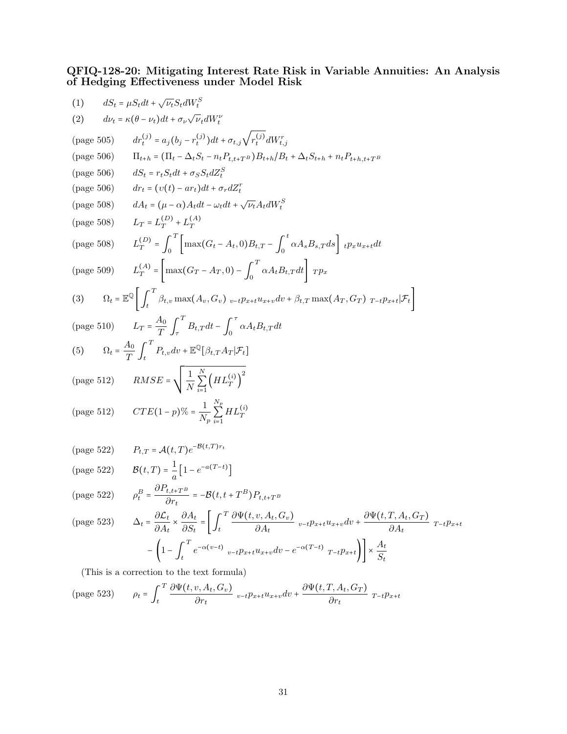#### QFIQ-128-20: Mitigating Interest Rate Risk in Variable Annuities: An Analysis of Hedging Effectiveness under Model Risk

(1) 
$$
dS_t = \mu S_t dt + \sqrt{\nu_t} S_t dW_t^S
$$
  
\n(2) 
$$
d\nu_t = \kappa(\theta - \nu_t) dt + \sigma_{\nu} \sqrt{\nu_t} dW_t^V
$$
  
\n(page 505) 
$$
dr_t^{(j)} = a_j (b_j - r_t^{(j)}) dt + \sigma_{t,j} \sqrt{r_t^{(j)}} dW_{t,j}^T
$$
  
\n(page 506) 
$$
\Pi_{t+h} = (\Pi_t - \Delta_t S_t - n_t P_{t,t+T} s) B_{t+h} / B_t + \Delta_t S_{t+h} + n_t P_{t+h,t+T} s
$$
  
\n(page 506) 
$$
dS_t = r_t S_t dt + \sigma_S S_t dZ_t^S
$$
  
\n(page 508) 
$$
dA_t = (\mu - \alpha) A_t dt - \omega_t dt + \sqrt{\nu_t} A_t dW_t^S
$$
  
\n(page 508) 
$$
L_T = L_T^{(D)} + L_T^{(A)}
$$
  
\n(page 508) 
$$
L_T^{(D)} = \int_0^T \left[ \max(G_t - A_t, 0) B_{t,T} - \int_0^t \alpha A_s B_{s,T} ds \right] \cdot \rho_x u_{x+t} dt
$$
  
\n(page 509) 
$$
L_T^{(A)} = \left[ \max(G_T - A_T, 0) - \int_0^T \alpha A_t B_{t,T} dt \right] r p_x
$$
  
\n(3) 
$$
\Omega_t = \mathbb{E}^{\mathbb{Q}} \left[ \int_t^T \beta_{t,v} \max(A_s, G_v)_{v-t} p_{x+t} u_{x+v} dv + \beta_{t,T} \max(A_T, G_T)_{T-t} p_{x+t} | \mathcal{F}_t \right]
$$
  
\n(page 510) 
$$
L_T = \frac{A_0}{T} \int_r^T B_{t,T} dt - \int_0^T \alpha A_t B_{t,T} dt
$$
  
\n(5) 
$$
\Omega_t = \frac{A_0}{T} \int_t^T P_{t,u} dv + \mathbb{E}^{\mathbb{Q}} [\beta_{t,T} A_T | \mathcal{F}_t]
$$
  
\n(page 512) 
$$
RMSE = \sqrt{\frac{1}{N}} \sum_{i=1}^N \left\{ H L_T
$$

$$
\text{(page 523)} \qquad \rho_t = \int_t^T \frac{\partial \Psi(t, v, A_t, G_v)}{\partial r_t} \, v \, dt \, e^{-t} \frac{\partial \Psi(t, T, A_t, G_T)}{\partial r_t} \, r \, dt
$$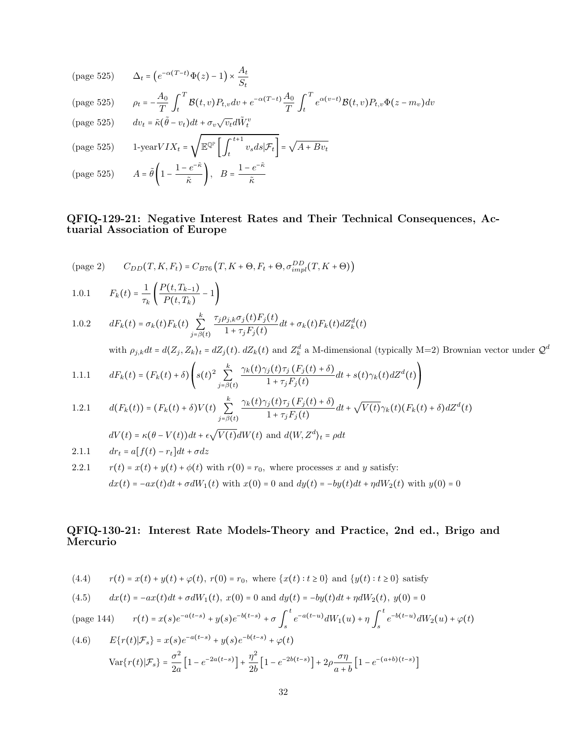$$
\text{(page 525)} \qquad \Delta_t = \left( e^{-\alpha(T-t)} \Phi(z) - 1 \right) \times \frac{A_t}{S_t}
$$

$$
\text{(page 525)} \qquad \rho_t = -\frac{A_0}{T} \int_t^T \mathcal{B}(t, v) P_{t, v} dv + e^{-\alpha (T-t)} \frac{A_0}{T} \int_t^T e^{\alpha (v-t)} \mathcal{B}(t, v) P_{t, v} \Phi(z - m_v) dv
$$

 $\tilde{\kappa}$ 

(page 525) 
$$
dv_t = \tilde{\kappa}(\tilde{\theta} - v_t)dt + \sigma_v \sqrt{v_t}d\tilde{W}_t^v
$$

(page 525) 
$$
1-\text{year}VIX_t = \sqrt{\mathbb{E} \mathbb{Q}^{\mathbb{P}} \left[ \int_t^{t+1} v_s ds | \mathcal{F}_t \right]} = \sqrt{A + Bv_t}
$$

(page 525)  $A = \tilde{\theta} \left( 1 - \frac{1 - e^{-\tilde{\kappa}}}{\tilde{\kappa}} \right)$  $\left(\frac{e^{-\tilde{\kappa}}}{\tilde{\kappa}}\right),\quad B=\frac{1-e^{-\tilde{\kappa}}}{\tilde{\kappa}}$ 

#### QFIQ-129-21: Negative Interest Rates and Their Technical Consequences, Actuarial Association of Europe

$$
\text{(page 2)} \qquad C_{DD}(T, K, F_t) = C_{B76}\left(T, K + \Theta, F_t + \Theta, \sigma_{impl}^{DD}(T, K + \Theta)\right)
$$

1.0.1 
$$
F_k(t) = \frac{1}{\tau_k} \left( \frac{P(t, T_{k-1})}{P(t, T_k)} - 1 \right)
$$

1.0.2 
$$
dF_k(t) = \sigma_k(t)F_k(t) \sum_{j=\beta(t)}^k \frac{\tau_j \rho_{j,k} \sigma_j(t)F_j(t)}{1 + \tau_j F_j(t)} dt + \sigma_k(t)F_k(t) dZ_k^d(t)
$$

with  $\rho_{j,k}dt = d\langle Z_j, Z_k\rangle_t = dZ_j(t)$ .  $dZ_k(t)$  and  $Z_k^d$  a M-dimensional (typically M=2) Brownian vector under  $\mathcal{Q}^d$ 

1.1.1 
$$
dF_k(t) = (F_k(t) + \delta) \left( s(t)^2 \sum_{j=\beta(t)}^k \frac{\gamma_k(t)\gamma_j(t)\tau_j(F_j(t) + \delta)}{1 + \tau_j F_j(t)} dt + s(t)\gamma_k(t) dZ^d(t) \right)
$$

1.2.1 
$$
d(F_k(t)) = (F_k(t) + \delta)V(t) \sum_{j=\beta(t)}^k \frac{\gamma_k(t)\gamma_j(t)\tau_j(F_j(t) + \delta)}{1 + \tau_j F_j(t)}dt + \sqrt{V(t)}\gamma_k(t)(F_k(t) + \delta)dZ^d(t)
$$

 $dV(t) = \kappa(\theta - V(t))dt + \epsilon \sqrt{V(t)}dW(t)$  and  $d\langle W, Z^d \rangle_t = \rho dt$ 

2.1.1 
$$
dr_t = a[f(t) - r_t]dt + \sigma dz
$$

2.2.1 
$$
r(t) = x(t) + y(t) + \phi(t)
$$
 with  $r(0) = r_0$ , where processes x and y satisfy:  
\n
$$
dx(t) = -ax(t)dt + \sigma dW_1(t)
$$
 with  $x(0) = 0$  and  $dy(t) = -by(t)dt + \eta dW_2(t)$  with  $y(0) = 0$ 

### QFIQ-130-21: Interest Rate Models-Theory and Practice, 2nd ed., Brigo and Mercurio

(4.4) 
$$
r(t) = x(t) + y(t) + \varphi(t), r(0) = r_0
$$
, where  $\{x(t) : t \ge 0\}$  and  $\{y(t) : t \ge 0\}$  satisfy

(4.5) 
$$
dx(t) = -ax(t)dt + \sigma dW_1(t), x(0) = 0 \text{ and } dy(t) = -by(t)dt + \eta dW_2(t), y(0) = 0
$$

$$
\text{(page 144)} \qquad r(t) = x(s)e^{-a(t-s)} + y(s)e^{-b(t-s)} + \sigma \int_s^t e^{-a(t-u)}dW_1(u) + \eta \int_s^t e^{-b(t-u)}dW_2(u) + \varphi(t)
$$

(4.6) 
$$
E\{r(t)|\mathcal{F}_s\} = x(s)e^{-a(t-s)} + y(s)e^{-b(t-s)} + \varphi(t)
$$

$$
Var\{r(t)|\mathcal{F}_s\} = \frac{\sigma^2}{2a} \left[1 - e^{-2a(t-s)}\right] + \frac{\eta^2}{2b} \left[1 - e^{-2b(t-s)}\right] + 2\rho \frac{\sigma \eta}{a+b} \left[1 - e^{-(a+b)(t-s)}\right]
$$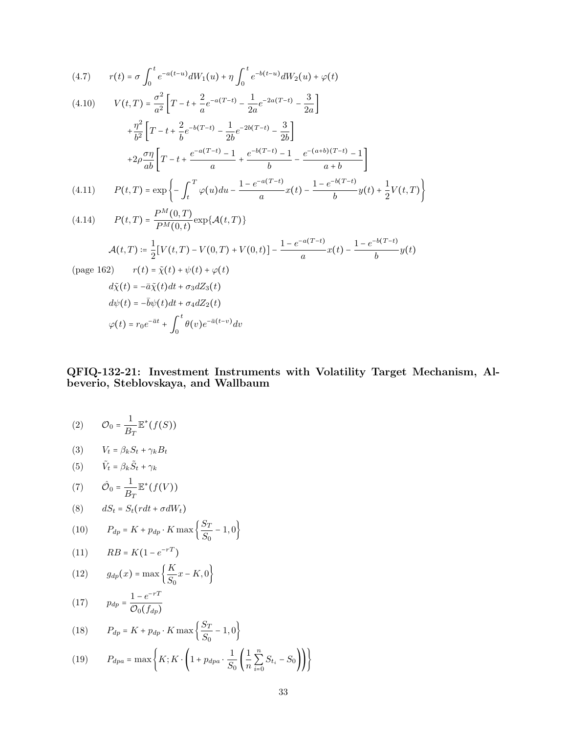(4.7) 
$$
r(t) = \sigma \int_0^t e^{-a(t-u)} dW_1(u) + \eta \int_0^t e^{-b(t-u)} dW_2(u) + \varphi(t)
$$

(4.10) 
$$
V(t,T) = \frac{\sigma^2}{a^2} \left[ T - t + \frac{2}{a} e^{-a(T-t)} - \frac{1}{2a} e^{-2a(T-t)} - \frac{3}{2a} \right] + \frac{\eta^2}{b^2} \left[ T - t + \frac{2}{b} e^{-b(T-t)} - \frac{1}{2b} e^{-2b(T-t)} - \frac{3}{2b} \right] + 2\rho \frac{\sigma \eta}{ab} \left[ T - t + \frac{e^{-a(T-t)} - 1}{a} + \frac{e^{-b(T-t)} - 1}{b} - \frac{e^{-(a+b)(T-t)} - 1}{a+b} \right]
$$
  
(4.11) 
$$
P(t,T) = \exp \left\{ - \int_t^T \varphi(u) du - \frac{1 - e^{-a(T-t)}}{a} x(t) - \frac{1 - e^{-b(T-t)}}{b} y(t) + \frac{1}{2} V(t,T) \right\}
$$

(4.14) 
$$
P(t,T) = \frac{P^M(0,T)}{P^M(0,t)} \exp{\{\mathcal{A}(t,T)\}}
$$

$$
\mathcal{A}(t,T) := \frac{1}{2} [V(t,T) - V(0,T) + V(0,t)] - \frac{1 - e^{-a(T-t)}}{a} x(t) - \frac{1 - e^{-b(T-t)}}{b} y(t)
$$
  
(page 162) 
$$
r(t) = \tilde{\chi}(t) + \psi(t) + \varphi(t)
$$

$$
d\tilde{\chi}(t) = -\bar{a}\tilde{\chi}(t)dt + \sigma_3 dZ_3(t)
$$

$$
d\psi(t) = -\bar{b}\psi(t)dt + \sigma_4 dZ_2(t)
$$

$$
\varphi(t) = r_0 e^{-\bar{a}t} + \int_0^t \theta(v) e^{-\bar{a}(t-v)} dv
$$

#### QFIQ-132-21: Investment Instruments with Volatility Target Mechanism, Albeverio, Steblovskaya, and Wallbaum

$$
(2) \qquad \mathcal{O}_0 = \frac{1}{B_T} \mathbb{E}^*(f(S))
$$

$$
(3) \t V_t = \beta_k S_t + \gamma_k B_t
$$

(5) 
$$
\tilde{V}_t = \beta_k \tilde{S}_t + \gamma_k
$$

(7) 
$$
\hat{\mathcal{O}}_0 = \frac{1}{B_T} \mathbb{E}^*(f(V))
$$

$$
(8) \qquad dS_t = S_t (r dt + \sigma dW_t)
$$

(10) 
$$
P_{dp} = K + p_{dp} \cdot K \max\left\{\frac{S_T}{S_0} - 1, 0\right\}
$$

$$
(11) \qquad RB = K(1 - e^{-rT})
$$

(12) 
$$
g_{dp}(x) = \max\left\{\frac{K}{S_0}x - K, 0\right\}
$$

$$
(17) \t p_{dp} = \frac{1 - e^{-rT}}{\mathcal{O}_0(f_{dp})}
$$

(18) 
$$
P_{dp} = K + p_{dp} \cdot K \max\left\{\frac{S_T}{S_0} - 1, 0\right\}
$$

(19) 
$$
P_{apa} = \max \left\{ K; K \cdot \left( 1 + p_{apa} \cdot \frac{1}{S_0} \left( \frac{1}{n} \sum_{i=0}^n S_{t_i} - S_0 \right) \right) \right\}
$$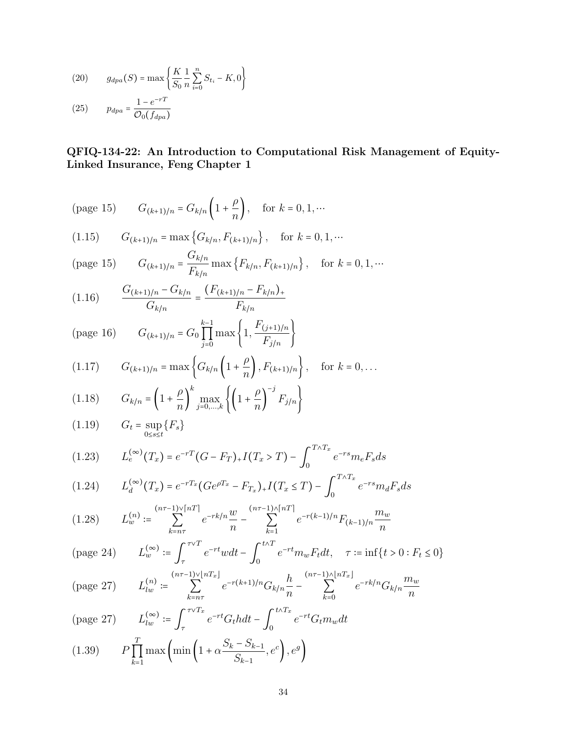(20) 
$$
g_{dpa}(S) = \max \left\{ \frac{K}{S_0} \frac{1}{n} \sum_{i=0}^{n} S_{t_i} - K, 0 \right\}
$$
  
(25) 
$$
p_{dpa} = \frac{1 - e^{-rT}}{O_0(f_{dpa})}
$$

## QFIQ-134-22: An Introduction to Computational Risk Management of Equity-Linked Insurance, Feng Chapter 1

(page 15) 
$$
G_{(k+1)/n} = G_{k/n} \left( 1 + \frac{\rho}{n} \right)
$$
, for  $k = 0, 1, \cdots$ 

(1.15) 
$$
G_{(k+1)/n} = \max\{G_{k/n}, F_{(k+1)/n}\}\,
$$
, for  $k = 0, 1, \cdots$ 

(page 15) 
$$
G_{(k+1)/n} = \frac{G_{k/n}}{F_{k/n}} \max\{F_{k/n}, F_{(k+1)/n}\}, \text{ for } k = 0, 1, \dots
$$

$$
(1.16) \qquad \frac{G_{(k+1)/n} - G_{k/n}}{G_{k/n}} = \frac{(F_{(k+1)/n} - F_{k/n})_+}{F_{k/n}}
$$

(page 16) 
$$
G_{(k+1)/n} = G_0 \prod_{j=0}^{k-1} \max \left\{ 1, \frac{F_{(j+1)/n}}{F_{j/n}} \right\}
$$

(1.17) 
$$
G_{(k+1)/n} = \max \left\{ G_{k/n} \left( 1 + \frac{\rho}{n} \right), F_{(k+1)/n} \right\}, \text{ for } k = 0, ...
$$

(1.18) 
$$
G_{k/n} = \left(1 + \frac{\rho}{n}\right)^k \max_{j=0,...,k} \left\{ \left(1 + \frac{\rho}{n}\right)^{-j} F_{j/n} \right\}
$$

$$
(1.19) \tGt = \sup_{0 \le s \le t} \{F_s\}
$$

(1.23) 
$$
L_e^{(\infty)}(T_x) = e^{-rT}(G - F_T)_+ I(T_x > T) - \int_0^{T \wedge T_x} e^{-rs} m_e F_s ds
$$

$$
(1.24) \qquad L_d^{(\infty)}(T_x) = e^{-rT_x} (Ge^{\rho T_x} - F_{T_x}) + I(T_x \le T) - \int_0^{T \wedge T_x} e^{-rs} m_d F_s ds
$$

$$
(1.28) \qquad L_w^{(n)} := \sum_{k=n\tau}^{(n\tau-1)\sqrt{n}T} e^{-rk/n} \frac{w}{n} - \sum_{k=1}^{(n\tau-1)\wedge\lceil nT \rceil} e^{-r(k-1)/n} F_{(k-1)/n} \frac{m_w}{n}
$$

$$
\text{(page 24)} \qquad L_w^{(\infty)} \coloneqq \int_{\tau}^{\tau \vee T} e^{-rt} w dt - \int_0^{t \wedge T} e^{-rt} m_w F_t dt, \quad \tau \coloneqq \inf \{ t > 0 : F_t \le 0 \}
$$

$$
\text{(page 27)} \qquad L_{lw}^{(n)} := \sum_{k=n\tau}^{(n\tau-1)\vee[nT_x]} e^{-r(k+1)/n} G_{k/n} \frac{h}{n} - \sum_{k=0}^{(n\tau-1)\wedge[nT_x]} e^{-rk/n} G_{k/n} \frac{m_w}{n}
$$

$$
\text{(page 27)} \qquad L_{lw}^{(\infty)} \coloneqq \int_{\tau}^{\tau \vee T_x} e^{-rt} G_t h dt - \int_{0}^{t \wedge T_x} e^{-rt} G_t m_w dt
$$
\n
$$
\text{(see)} \qquad \qquad \Gamma \qquad \text{(see)} \qquad \qquad \Gamma \qquad \text{(see)} \qquad \qquad \Gamma \qquad \text{(see)} \qquad \qquad \Gamma \qquad \text{(see)} \qquad \qquad \Gamma \qquad \text{(see)} \qquad \qquad \Gamma \qquad \text{(see)} \qquad \qquad \Gamma \qquad \text{(see)} \qquad \qquad \Gamma \qquad \text{(see)} \qquad \qquad \Gamma \qquad \text{(see)} \qquad \qquad \Gamma \qquad \text{(see)} \qquad \qquad \Gamma \qquad \text{(see)} \qquad \qquad \Gamma \qquad \text{(see)} \qquad \qquad \Gamma \qquad \text{(see)} \qquad \qquad \Gamma \qquad \text{(see)} \qquad \qquad \Gamma \qquad \text{(see)} \qquad \qquad \Gamma \qquad \text{(see)} \qquad \qquad \Gamma \qquad \text{(see)} \qquad \qquad \Gamma \qquad \text{(see)} \qquad \qquad \Gamma \qquad \text{(see)} \qquad \qquad \Gamma \qquad \text{(see)} \qquad \qquad \Gamma \qquad \text{(see)} \qquad \qquad \Gamma \qquad \text{(see)} \qquad \qquad \Gamma \qquad \text{(see)} \qquad \qquad \Gamma \qquad \text{(see)} \qquad \qquad \Gamma \qquad \text{(see)} \qquad \qquad \Gamma \qquad \text{(see)} \qquad \qquad \Gamma \qquad \text{(see)} \qquad \qquad \Gamma \qquad \text{(see)} \qquad \qquad \Gamma \qquad \text{(see)} \qquad \qquad \Gamma \qquad \text{(see)} \qquad \qquad \Gamma \qquad \text{(see)} \qquad \qquad \Gamma \qquad \text{(see)} \qquad \qquad \Gamma \qquad \text{(see)} \qquad \qquad \Gamma \qquad \text{(see)} \qquad \qquad \Gamma \qquad \text{(see)} \qquad \qquad \Gamma \qquad \text{(see)} \qquad \qquad \Gamma \qquad \text{(see)} \qquad \qquad \Gamma \qquad \text{(see)} \qquad \qquad \Gamma \qquad \text{(see)} \qquad \qquad \Gamma \qquad \text{(see)} \qquad \qquad \Gamma \qquad \text{(see)} \qquad \qquad \Gamma \qquad \text{(see)} \qquad \
$$

(1.39) 
$$
P\prod_{k=1}^{T} \max\left(\min\left(1+\alpha \frac{S_k-S_{k-1}}{S_{k-1}}, e^c\right), e^g\right)
$$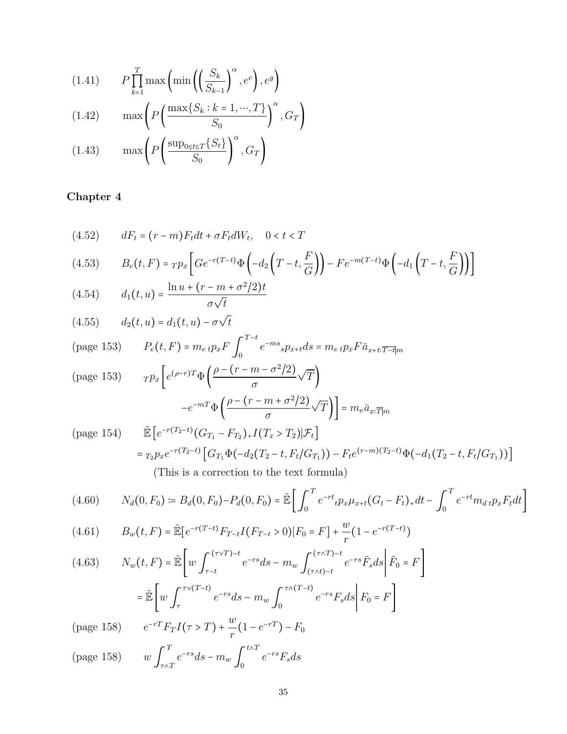(1.41) 
$$
P\prod_{k=1}^{T} \max\left(\min\left(\left(\frac{S_k}{S_{k-1}}\right)^{\alpha}, e^c\right), e^g\right)
$$

(1.42) 
$$
\max \left( P\left( \frac{\max\{S_k : k = 1, \cdots, T\}}{S_0} \right)^{\alpha}, G_T \right)
$$
  
(1.43) 
$$
\max \left( P\left( \frac{\sup_{0 \le t \le T} \{S_t\}}{\alpha} \right)^{\alpha}, G_T \right)
$$

$$
(1.43) \qquad \max\left\{P\left(\frac{\exp(\frac{1}{2}t)}{S_0}\right), G_T\right\}
$$

(4.52) 
$$
dF_t = (r - m)F_t dt + \sigma F_t dW_t, \quad 0 < t < T
$$

$$
(4.53) \qquad B_e(t, F) = T p_x \left[ Ge^{-r(T-t)} \Phi\left(-d_2 \left(T - t, \frac{F}{G}\right)\right) - Fe^{-m(T-t)} \Phi\left(-d_1 \left(T - t, \frac{F}{G}\right)\right) \right]
$$

(4.54) 
$$
d_1(t, u) = \frac{\ln u + (r - m + \sigma^2/2)t}{\sigma \sqrt{t}}
$$

(4.55) 
$$
d_2(t, u) = d_1(t, u) - \sigma \sqrt{t}
$$

(page 153) 
$$
P_e(t, F) = m_{e} t p_x F \int_0^{T-t} e^{-ms} s p_{x+t} ds = m_{e} t p_x F \bar{a}_{x+t: \overline{T-t} | m}
$$

$$
\text{(page 153)} \qquad \text{TP}_x \left[ e^{(\rho - r)T} \Phi \left( \frac{\rho - (r - m - \sigma^2/2)}{\sigma} \sqrt{T} \right) \right] = m_e \bar{a}_{x:\overline{T}|m}
$$

(page 154)  $\qquad \tilde{\mathbb{E}} \left[ e^{-r(T_2-t)} (G_{T_1} - F_{T_2})_+ I(T_x > T_2) | \mathcal{F}_t \right]$  $= \tau_2 p_x e^{-r(T_2-t)} \left[ G_{T_1} \Phi(-d_2(T_2-t, F_t/G_{T_1})) - F_t e^{(r-m)(T_2-t)} \Phi(-d_1(T_2-t, F_t/G_{T_1})) \right]$ (This is a correction to the text formula)

$$
(4.60) \qquad N_d(0, F_0) \coloneqq B_d(0, F_0) - P_d(0, F_0) = \tilde{\mathbb{E}} \left[ \int_0^T e^{-rt} \iota p_x \mu_{x+t} (G_t - F_t)_+ dt - \int_0^T e^{-rt} m_{dt} p_x F_t dt \right]
$$

(4.61) 
$$
B_w(t,F) = \tilde{\mathbb{E}}[e^{-r(T-t)}F_{T-t}I(F_{T-t}>0)|F_0 = F] + \frac{w}{r}(1 - e^{-r(T-t)})
$$

$$
(4.63) \qquad N_w(t, F) = \tilde{\mathbb{E}} \left[ w \int_{\tau-t}^{(\tau \vee T)-t} e^{-rs} ds - m_w \int_{(\tau \wedge t)-t}^{(\tau \wedge T)-t} e^{-rs} \tilde{F}_s ds \middle| \tilde{F}_0 = F \right]
$$

$$
= \tilde{\mathbb{E}} \left[ w \int_{\tau}^{\tau \vee (T-t)} e^{-rs} ds - m_w \int_0^{\tau \wedge (T-t)} e^{-rs} F_s ds \middle| F_0 = F \right]
$$

(page 158)  $e^{-rT}F_T I(\tau > T) + \frac{w}{r}$  $\frac{w}{r}(1-e^{-rT})-F_0$ 

(page 158) 
$$
w \int_{\tau \wedge T}^{T} e^{-rs} ds - m_w \int_{0}^{t \wedge T} e^{-rs} F_s ds
$$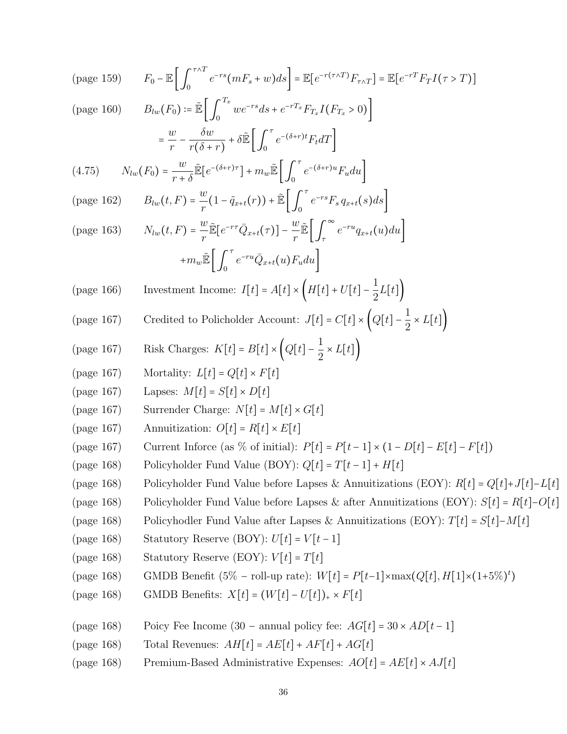\n
$$
F_0 - \mathbb{E} \left[ \int_0^{\tau \wedge T} e^{-rs} (mF_s + w) ds \right] = \mathbb{E} \left[ e^{-r(\tau \wedge T)} F_{\tau \wedge T} \right] = \mathbb{E} \left[ e^{-rT} F_T I(\tau > T) \right]
$$
\n

\n\n (page 160) 
$$
B_{iw}(F_0) := \mathbb{E} \left[ \int_0^{T_x} w e^{-rs} ds + e^{-rT_x} F_{T_x} I(F_{T_x} > 0) \right]
$$
\n

\n\n =  $\frac{w}{r} - \frac{\delta w}{r(\delta + r)} + \delta \mathbb{E} \left[ \int_0^{\tau} e^{-(\delta + r)u} F_{iv} dT \right]$ \n

\n\n (4.75) 
$$
N_{lw}(t, \hat{r}) = \frac{w}{r} \frac{\delta}{r} \left[ e^{-(\delta + r)\tau} \right] + m_w \mathbb{E} \left[ \int_0^{\tau} e^{-\delta t} F_s \, q_{z+t}(s) ds \right]
$$
\n

\n\n (page 162) 
$$
B_{iw}(t, F) = \frac{w}{r} \mathbb{E} \left[ e^{-r\tau} Q_{x+t}(r) \right] + \mathbb{E} \left[ \int_0^{\tau} e^{-rs} F_s \, q_{z+t}(s) ds \right]
$$
\n

\n\n (page 163) 
$$
N_{lw}(t, F) = \frac{w}{r} \mathbb{E} \left[ e^{-r\tau} Q_{x+t}(r) \right] - \frac{w}{r} \mathbb{E} \left[ \int_0^{\infty} e^{-ru} q_{z+t}(u) du \right]
$$
\n

\n\n (page 164) 
$$
M_{vw} \mathbb{E} \left[ \int_0^{\tau} e^{-rv} Q_{x+t}(u) F_u du \right]
$$
\n

\n\n (page 167) 
$$
C_{reclated to Policholder Account: 
$$
J[t] = C[t] \times \left[ Q[t] - \frac{1}{2} \times L[t] \right)
$$
\n
$$

\n\n (page 167) 
$$
M_{v} \times \text{ Charles: } K[t] = B[t] \times \left[ Q[t] - \frac
$$

- (page 168) Poicy Fee Income (30 annual policy fee:  $AG[t] = 30 \times AD[t-1]$ <br>(page 168) Total Revenues:  $AH[t] = AE[t] + AF[t] + AG[t]$
- (page 168) Total Revenues:  $AH[t] = AE[t] + AF[t] + AG[t]$ <br>(page 168) Premium-Based Administrative Expenses:  $AO[t]$
- Premium-Based Administrative Expenses:  $AO[t] = AE[t] \times AJ[t]$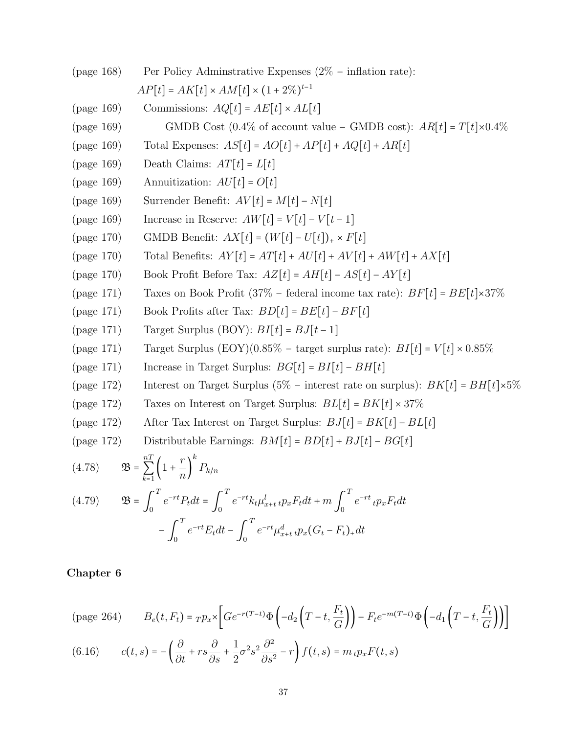\n
$$
\begin{aligned}\n &\text{(page 168)}\\
&\text{Per Policy Adminstrative Expresses } (2\% - \text{ inflation rate}):\\
&\text{AP}[t] = AK[t] \times AM[t] \times (1 + 2\%)^{t-1} \\
&\text{(page 169)}\\
&\text{Commissions: } AQ[t] = AE[t] \times AL[t] \\
&\text{(page 169)}\\
&\text{GMDB Cost } (0.4\% of account value - GMDB cost): AR[t] = T[t] \times 0.4\% \\
&\text{(page 169)}\\
&\text{Total Expresses: } AS[t] = AO[t] + AP[t] + AQ[t] + AR[t] \\
&\text{(page 169)}\\
&\text{Death Claus: } AT[t] = U[t] \\
&\text{(page 169)}\\
&\text{Current} = M[t] - N[t] \\
&\text{(page 170)}\\
&\text{GMDB Benefit: } AX[t] = W[t] - V[t - 1] \\
&\text{(page 170)}\\
&\text{Total Benefit: } AX[t] = (W[t] - U[t]) \times F[t] \\
&\text{(page 170)}\\
&\text{Book Profit. } AX[t] = AT[t] + AU[t] + AW[t] + AW[t] + AX[t] \\
&\text{(page 171)}\\
&\text{Take on Book Profit } (37\% - federal income tax rate): BF[t] = BE[t] \times 37\% \\
&\text{(page 171)}\\
&\text{Back Points after Tax: } BD[t] = BE[t] - BF[t] \\
&\text{(page 171)}\\
&\text{Target Surplus } (BOY): BI[t] = BJ[t - 1] \\
&\text{(page 171)}\\
&\text{Target Surplus } (BOY): BI[t] = BJ[t - 1] \\
&\text{(page 172)}\\
&\text{Interest on Target Surplus } 5G[t] = BI[t] - BH[t] \\
&\text{(page 172)}\\
&\text{Interest on Target Surplus: } BJ[t] = BH[t] - BH[t] \\
&\text{(page 172)}\\
&\text{Interest on Target Surplus: } BJ[t] = BH[t] - BH[t] \\
&\text{(page 172)}\\
&\text{After Tax Interest on Target Surplus: } BJ[t] = BK[t] - BL[t] \\
&\text{(page 172)}\\
&\text{After Tax Interest on Target Surplus: } BJ[t] = BK[t] - BE[t] \\
&\text{(
$$

−∫

(page 264) 
$$
B_e(t, F_t) = T p_x \left[ Ge^{-r(T-t)} \Phi\left(-d_2 \left(T-t, \frac{F_t}{G}\right)\right) - F_t e^{-m(T-t)} \Phi\left(-d_1 \left(T-t, \frac{F_t}{G}\right)\right) \right]
$$
  
(6.16) 
$$
(t, \lambda) = \begin{pmatrix} \partial & \partial & 1 & 2 & 2 \\ 0 & \partial & 1 & 2 & 2 \end{pmatrix} \begin{pmatrix} 2 & \lambda & 1 \\ 0 & 2 & \lambda & 1 \end{pmatrix}
$$

(6.16) 
$$
c(t,s) = -\left(\frac{\partial}{\partial t} + rs\frac{\partial}{\partial s} + \frac{1}{2}\sigma^2 s^2 \frac{\partial^2}{\partial s^2} - r\right) f(t,s) = m_t p_x F(t,s)
$$